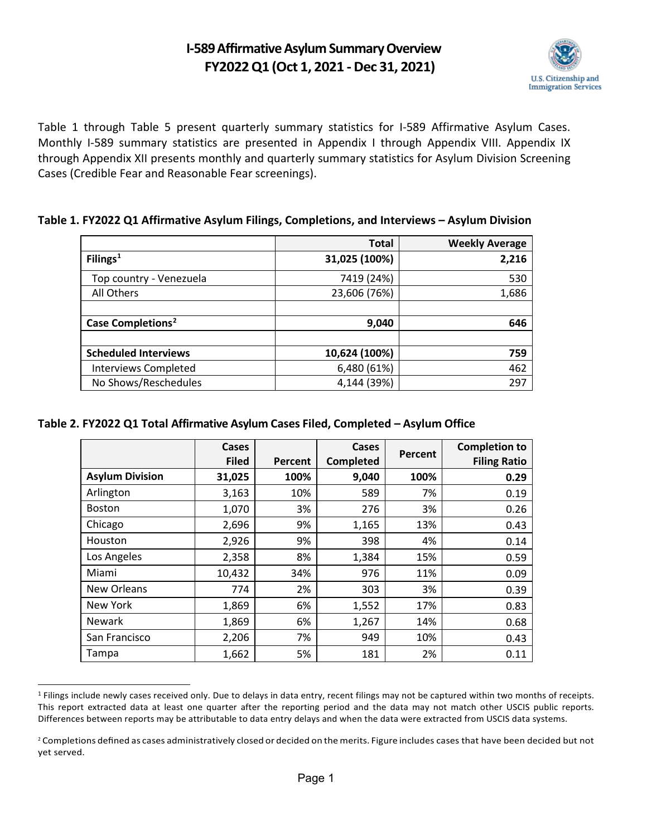## **I-589 Affirmative Asylum Summary Overview FY2022 Q1 (Oct 1, 2021 -Dec 31, 2021)**



Table 1 through Table 5 present quarterly summary statistics for I-589 Affirmative Asylum Cases. Monthly I-589 summary statistics are presented in Appendix I through Appendix VIII. Appendix IX through Appendix XII presents monthly and quarterly summary statistics for Asylum Division Screening Cases (Credible Fear and Reasonable Fear screenings).

#### **Table 1. FY2022 Q1 Affirmative Asylum Filings, Completions, and Interviews – Asylum Division**

|                               | <b>Total</b>  | <b>Weekly Average</b> |
|-------------------------------|---------------|-----------------------|
| Filings $1$                   | 31,025 (100%) | 2,216                 |
| Top country - Venezuela       | 7419 (24%)    | 530                   |
| All Others                    | 23,606 (76%)  | 1,686                 |
|                               |               |                       |
| Case Completions <sup>2</sup> | 9,040         | 646                   |
|                               |               |                       |
| <b>Scheduled Interviews</b>   | 10,624 (100%) | 759                   |
| <b>Interviews Completed</b>   | 6,480 (61%)   | 462                   |
| No Shows/Reschedules          | 4,144 (39%)   | 297                   |

#### **Table 2. FY2022 Q1 Total Affirmative Asylum Cases Filed, Completed – Asylum Office**

|                        | Cases<br><b>Filed</b> | Percent | Cases<br><b>Completed</b> | Percent | <b>Completion to</b><br><b>Filing Ratio</b> |
|------------------------|-----------------------|---------|---------------------------|---------|---------------------------------------------|
| <b>Asylum Division</b> | 31,025                | 100%    | 9,040                     | 100%    | 0.29                                        |
| Arlington              | 3,163                 | 10%     | 589                       | 7%      | 0.19                                        |
| <b>Boston</b>          | 1,070                 | 3%      | 276                       | 3%      | 0.26                                        |
| Chicago                | 2,696                 | 9%      | 1,165                     | 13%     | 0.43                                        |
| Houston                | 2,926                 | 9%      | 398                       | 4%      | 0.14                                        |
| Los Angeles            | 2,358                 | 8%      | 1,384                     | 15%     | 0.59                                        |
| Miami                  | 10,432                | 34%     | 976                       | 11%     | 0.09                                        |
| New Orleans            | 774                   | 2%      | 303                       | 3%      | 0.39                                        |
| New York               | 1,869                 | 6%      | 1,552                     | 17%     | 0.83                                        |
| <b>Newark</b>          | 1,869                 | 6%      | 1,267                     | 14%     | 0.68                                        |
| San Francisco          | 2,206                 | 7%      | 949                       | 10%     | 0.43                                        |
| Tampa                  | 1,662                 | 5%      | 181                       | 2%      | 0.11                                        |

<span id="page-0-0"></span><sup>&</sup>lt;sup>1</sup> Filings include newly cases received only. Due to delays in data entry, recent filings may not be captured within two months of receipts. This report extracted data at least one quarter after the reporting period and the data may not match other USCIS public reports. Differences between reports may be attributable to data entry delays and when the data were extracted from USCIS data systems.

<span id="page-0-1"></span><sup>&</sup>lt;sup>2</sup> Completions defined as cases administratively closed or decided on the merits. Figure includes cases that have been decided but not yet served.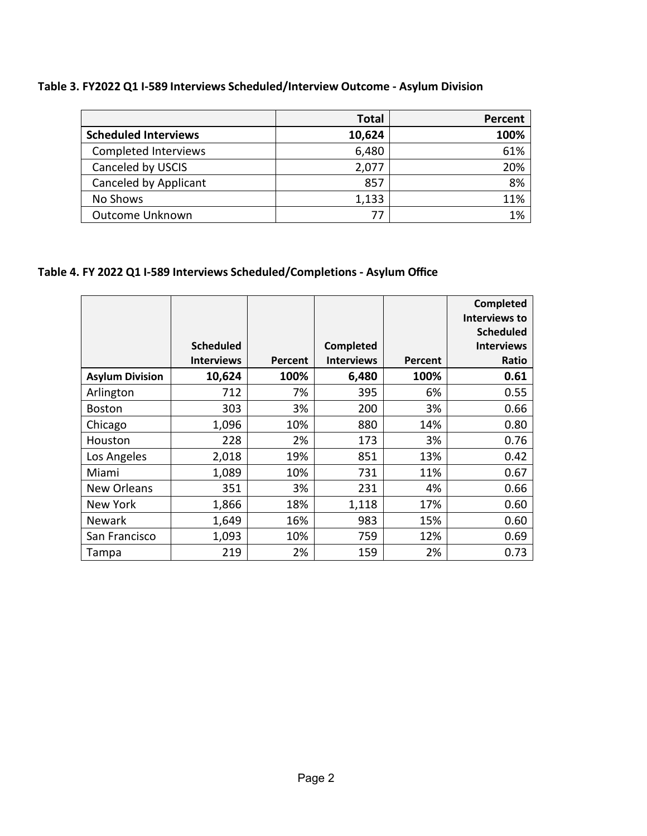#### **Table 3. FY2022 Q1 I-589 Interviews Scheduled/Interview Outcome - Asylum Division**

|                             | Total  | Percent |
|-----------------------------|--------|---------|
| <b>Scheduled Interviews</b> | 10,624 | 100%    |
| Completed Interviews        | 6,480  | 61%     |
| Canceled by USCIS           | 2,077  | 20%     |
| Canceled by Applicant       | 857    | 8%      |
| No Shows                    | 1,133  | 11%     |
| Outcome Unknown             |        | 1%      |

#### **Table 4. FY 2022 Q1 I-589 Interviews Scheduled/Completions - Asylum Office**

|                        |                   |         |                   |         | <b>Completed</b><br><b>Interviews to</b><br><b>Scheduled</b> |
|------------------------|-------------------|---------|-------------------|---------|--------------------------------------------------------------|
|                        | <b>Scheduled</b>  |         | <b>Completed</b>  |         | <b>Interviews</b>                                            |
|                        | <b>Interviews</b> | Percent | <b>Interviews</b> | Percent | Ratio                                                        |
| <b>Asylum Division</b> | 10,624            | 100%    | 6,480             | 100%    | 0.61                                                         |
| Arlington              | 712               | 7%      | 395               | 6%      | 0.55                                                         |
| <b>Boston</b>          | 303               | 3%      | 200               | 3%      | 0.66                                                         |
| Chicago                | 1,096             | 10%     | 880               | 14%     | 0.80                                                         |
| Houston                | 228               | 2%      | 173               | 3%      | 0.76                                                         |
| Los Angeles            | 2,018             | 19%     | 851               | 13%     | 0.42                                                         |
| Miami                  | 1,089             | 10%     | 731               | 11%     | 0.67                                                         |
| <b>New Orleans</b>     | 351               | 3%      | 231               | 4%      | 0.66                                                         |
| New York               | 1,866             | 18%     | 1,118             | 17%     | 0.60                                                         |
| <b>Newark</b>          | 1,649             | 16%     | 983               | 15%     | 0.60                                                         |
| San Francisco          | 1,093             | 10%     | 759               | 12%     | 0.69                                                         |
| Tampa                  | 219               | 2%      | 159               | 2%      | 0.73                                                         |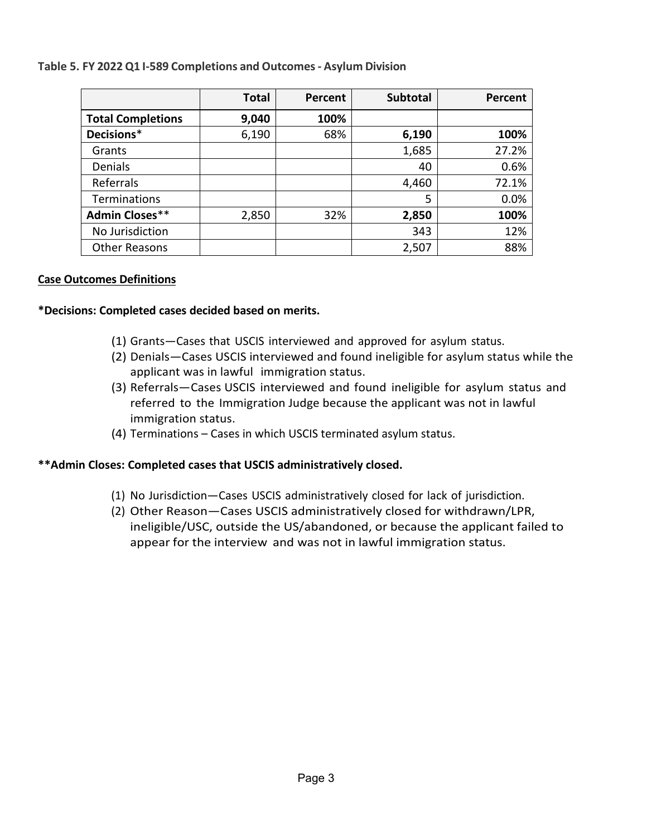#### **Table 5. FY 2022 Q1 I-589 Completions and Outcomes- Asylum Division**

|                          | <b>Total</b> | Percent | <b>Subtotal</b> | <b>Percent</b> |
|--------------------------|--------------|---------|-----------------|----------------|
| <b>Total Completions</b> | 9,040        | 100%    |                 |                |
| Decisions*               | 6,190        | 68%     | 6,190           | 100%           |
| Grants                   |              |         | 1,685           | 27.2%          |
| Denials                  |              |         | 40              | 0.6%           |
| Referrals                |              |         | 4,460           | 72.1%          |
| <b>Terminations</b>      |              |         | 5               | 0.0%           |
| <b>Admin Closes**</b>    | 2,850        | 32%     | 2,850           | 100%           |
| No Jurisdiction          |              |         | 343             | 12%            |
| <b>Other Reasons</b>     |              |         | 2,507           | 88%            |

#### **Case Outcomes Definitions**

#### **\*Decisions: Completed cases decided based on merits.**

- (1) Grants—Cases that USCIS interviewed and approved for asylum status.
- (2) Denials—Cases USCIS interviewed and found ineligible for asylum status while the applicant was in lawful immigration status.
- (3) Referrals—Cases USCIS interviewed and found ineligible for asylum status and referred to the Immigration Judge because the applicant was not in lawful immigration status.
- (4) Terminations Cases in which USCIS terminated asylum status.

#### **\*\*Admin Closes: Completed cases that USCIS administratively closed.**

- (1) No Jurisdiction—Cases USCIS administratively closed for lack of jurisdiction.
- ineligible/USC, outside the US/abandoned, or because the applicant failed to appear for the interview and was not in lawful immigration status. (2) Other Reason—Cases USCIS administratively closed for withdrawn/LPR,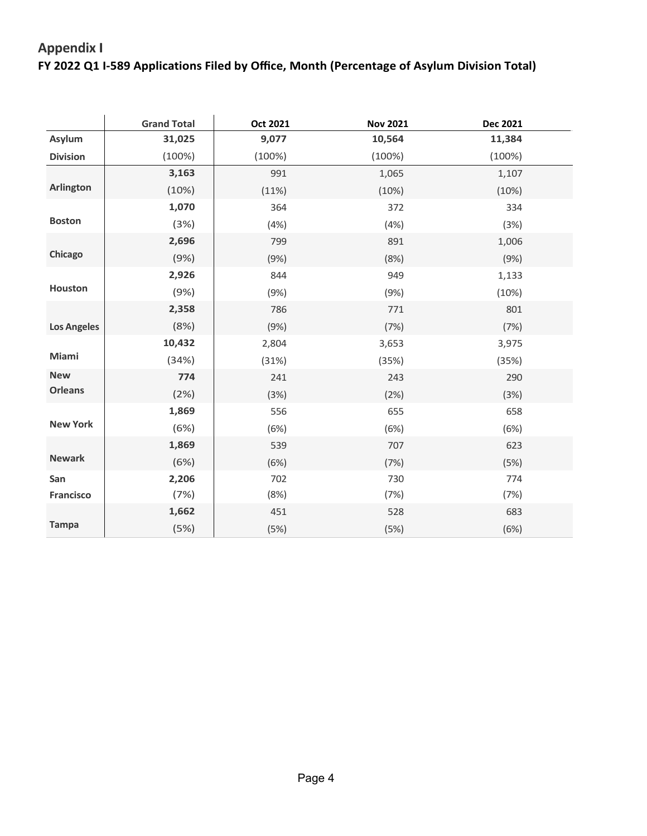# **FY 2022 Q1 I-589 Applications Filed by Office, Month (Percentage of Asylum Division Total) Appendix I**

|                    | <b>Grand Total</b> | Oct 2021 | <b>Nov 2021</b> | Dec 2021 |
|--------------------|--------------------|----------|-----------------|----------|
| Asylum             | 31,025             | 9,077    | 10,564          | 11,384   |
| <b>Division</b>    | (100%)             | (100%)   | (100%)          | (100%)   |
|                    | 3,163              | 991      | 1,065           | 1,107    |
| <b>Arlington</b>   | (10%)              | (11%)    | (10%)           | (10%)    |
|                    | 1,070              | 364      | 372             | 334      |
| <b>Boston</b>      | (3%)               | (4%)     | (4%)            | (3%)     |
|                    | 2,696              | 799      | 891             | 1,006    |
| Chicago            | (9%)               | (9%)     | (8%)            | (9%)     |
|                    | 2,926              | 844      | 949             | 1,133    |
| Houston            | (9%)               | (9%)     | (9%)            | (10%)    |
|                    | 2,358              | 786      | 771             | 801      |
| <b>Los Angeles</b> | (8%)               | (9%)     | (7%)            | (7%)     |
|                    | 10,432             | 2,804    | 3,653           | 3,975    |
| Miami              | (34%)              | (31%)    | (35%)           | (35%)    |
| <b>New</b>         | 774                | 241      | 243             | 290      |
| <b>Orleans</b>     | (2%)               | (3%)     | (2%)            | (3%)     |
|                    | 1,869              | 556      | 655             | 658      |
| <b>New York</b>    | (6%)               | (6%)     | (6%)            | (6%)     |
|                    | 1,869              | 539      | 707             | 623      |
| <b>Newark</b>      | (6%)               | (6%)     | (7%)            | (5%)     |
| San                | 2,206              | 702      | 730             | 774      |
| <b>Francisco</b>   | (7%)               | (8%)     | (7%)            | (7%)     |
|                    | 1,662              | 451      | 528             | 683      |
| <b>Tampa</b>       | (5%)               | (5%)     | (5%)            | (6%)     |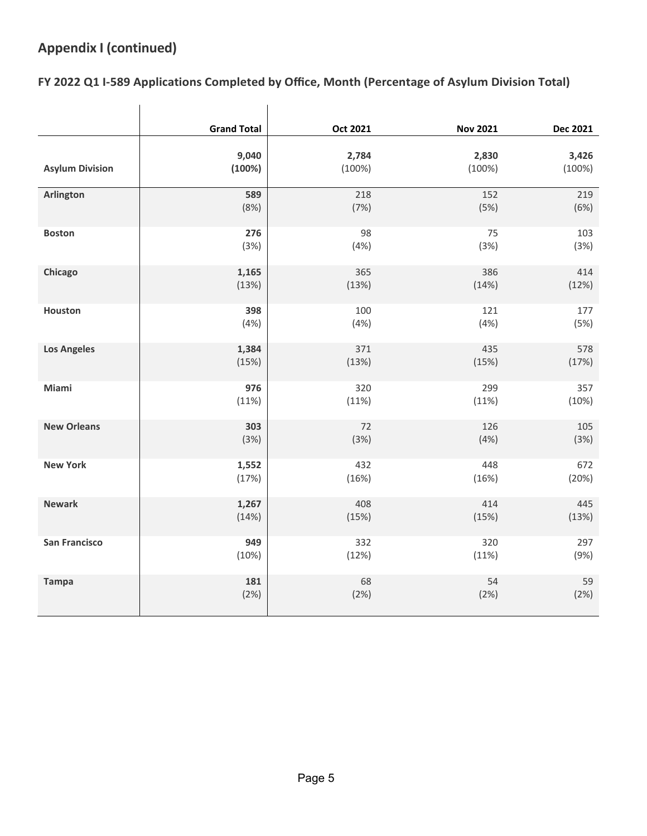## **Appendix I (continued)**

#### **FY 2022 Q1 I-589 Applications Completed by Office, Month (Percentage of Asylum Division Total)**

|                        | <b>Grand Total</b> | <b>Oct 2021</b> | <b>Nov 2021</b> | <b>Dec 2021</b> |
|------------------------|--------------------|-----------------|-----------------|-----------------|
| <b>Asylum Division</b> | 9,040              | 2,784           | 2,830           | 3,426           |
|                        | (100%)             | $(100\%)$       | $(100\%)$       | (100%)          |
| Arlington              | 589                | 218             | 152             | 219             |
|                        | (8%)               | (7%)            | (5%)            | (6%)            |
| <b>Boston</b>          | 276                | 98              | 75              | 103             |
|                        | (3%)               | (4%)            | (3%)            | (3%)            |
| Chicago                | 1,165              | 365             | 386             | 414             |
|                        | (13%)              | (13%)           | (14%)           | (12%)           |
| Houston                | 398                | 100             | 121             | 177             |
|                        | (4% )              | (4% )           | (4% )           | (5%)            |
| <b>Los Angeles</b>     | 1,384              | 371             | 435             | 578             |
|                        | (15%)              | (13%)           | (15%)           | (17%)           |
| Miami                  | 976                | 320             | 299             | 357             |
|                        | (11%)              | (11%)           | (11%)           | (10%)           |
| <b>New Orleans</b>     | 303                | 72              | 126             | 105             |
|                        | (3%)               | (3%)            | (4% )           | (3%)            |
| <b>New York</b>        | 1,552              | 432             | 448             | 672             |
|                        | (17%)              | (16%)           | (16%)           | (20%)           |
| <b>Newark</b>          | 1,267              | 408             | 414             | 445             |
|                        | (14%)              | (15%)           | (15%)           | (13%)           |
| <b>San Francisco</b>   | 949                | 332             | 320             | 297             |
|                        | (10%)              | (12%)           | (11%)           | (9%)            |
| <b>Tampa</b>           | 181                | 68              | 54              | 59              |
|                        | (2%)               | (2%)            | (2%)            | (2%)            |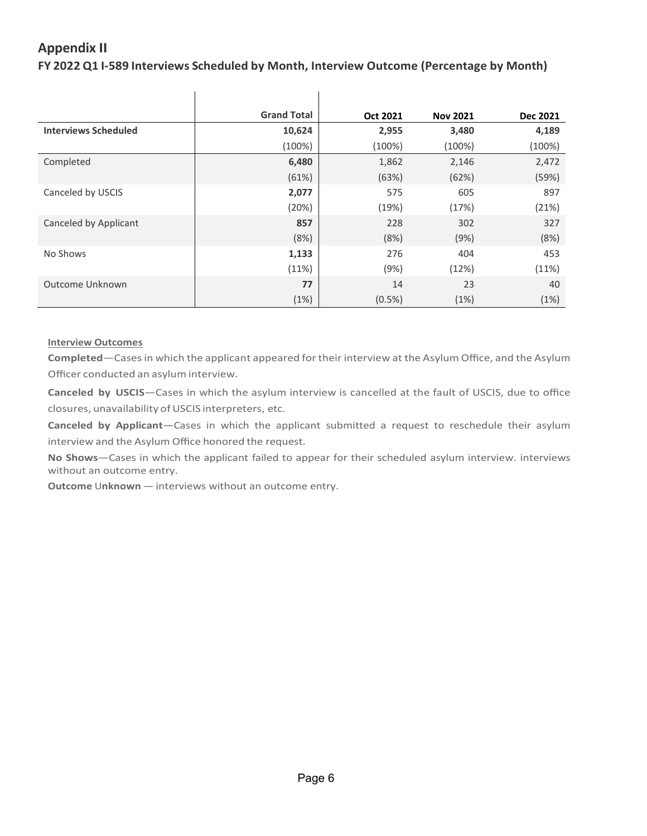# **Appendix II**

 **FY 2022 Q1 I-589 Interviews Scheduled by Month, Interview Outcome (Percentage by Month)**

|                             | <b>Grand Total</b> | Oct 2021  | <b>Nov 2021</b> | Dec 2021  |
|-----------------------------|--------------------|-----------|-----------------|-----------|
| <b>Interviews Scheduled</b> | 10,624             | 2,955     | 3,480           | 4,189     |
|                             | (100%)             | $(100\%)$ | $(100\%)$       | $(100\%)$ |
| Completed                   | 6,480              | 1,862     | 2,146           | 2,472     |
|                             | (61%)              | (63%)     | (62%)           | (59%)     |
| Canceled by USCIS           | 2,077              | 575       | 605             | 897       |
|                             | (20%)              | (19%)     | (17%)           | (21%)     |
| Canceled by Applicant       | 857                | 228       | 302             | 327       |
|                             | (8%)               | (8%)      | (9%)            | (8%)      |
| No Shows                    | 1,133              | 276       | 404             | 453       |
|                             | (11%)              | (9%)      | (12%)           | (11%)     |
| Outcome Unknown             | 77                 | 14        | 23              | 40        |
|                             | (1%)               | $(0.5\%)$ | (1%)            | (1%)      |

#### **Interview Outcomes**

 **Completed**—Cases in which the applicant appeared for their interview at the Asylum Office, and the Asylum Officer conducted an asylum interview.

 **Canceled by USCIS**—Cases in which the asylum interview is cancelled at the fault of USCIS, due to office closures, unavailability of USCIS interpreters, etc.

 **Canceled by Applicant**—Cases in which the applicant submitted a request to reschedule their asylum interview and the Asylum Office honored the request.

 **No Shows**—Cases in which the applicant failed to appear for their scheduled asylum interview. interviews without an outcome entry.

 **Outcome** U**nknown** — interviews without an outcome entry.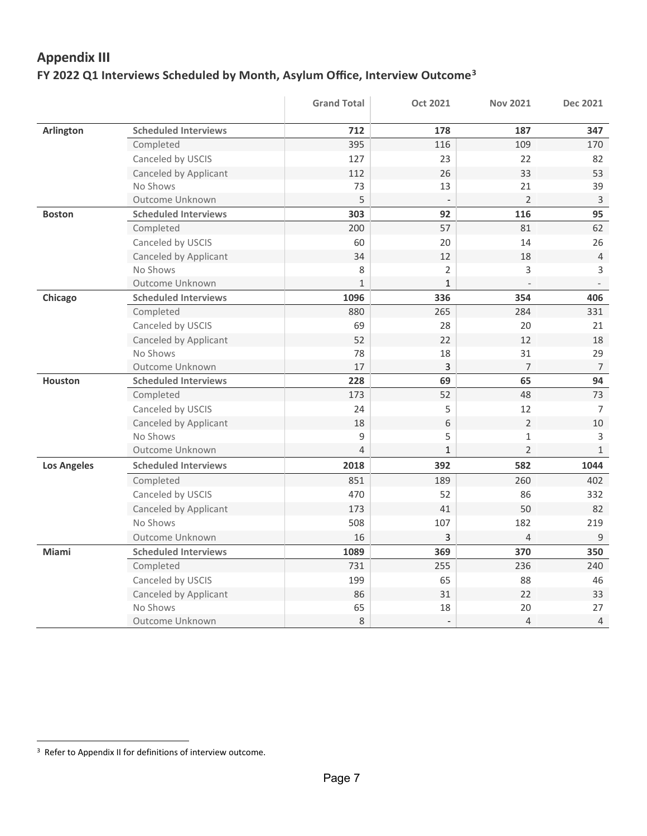## **Appendix III FY 2022 Q1 Interviews Scheduled by Month, Asylum Office, Interview Outcome[3](#page-6-0)**

|                    |                             | <b>Grand Total</b> | <b>Oct 2021</b>          | <b>Nov 2021</b> | <b>Dec 2021</b>          |
|--------------------|-----------------------------|--------------------|--------------------------|-----------------|--------------------------|
| <b>Arlington</b>   | <b>Scheduled Interviews</b> | 712                | 178                      | 187             | 347                      |
|                    | Completed                   | 395                | 116                      | 109             | 170                      |
|                    | Canceled by USCIS           | 127                | 23                       | 22              | 82                       |
|                    | Canceled by Applicant       | 112                | 26                       | 33              | 53                       |
|                    | No Shows                    | 73                 | 13                       | 21              | 39                       |
|                    | Outcome Unknown             | 5                  |                          | $\overline{2}$  | $\mathsf 3$              |
| <b>Boston</b>      | <b>Scheduled Interviews</b> | 303                | 92                       | 116             | 95                       |
|                    | Completed                   | 200                | 57                       | 81              | 62                       |
|                    | Canceled by USCIS           | 60                 | 20                       | 14              | 26                       |
|                    | Canceled by Applicant       | 34                 | 12                       | 18              | $\overline{4}$           |
|                    | No Shows                    | 8                  | $\overline{2}$           | 3               | 3                        |
|                    | Outcome Unknown             | $\mathbf{1}$       | $\mathbf{1}$             |                 | $\overline{\phantom{a}}$ |
| Chicago            | <b>Scheduled Interviews</b> | 1096               | 336                      | 354             | 406                      |
|                    | Completed                   | 880                | 265                      | 284             | 331                      |
|                    | Canceled by USCIS           | 69                 | 28                       | 20              | 21                       |
|                    | Canceled by Applicant       | 52                 | 22                       | 12              | 18                       |
|                    | No Shows                    | 78                 | 18                       | 31              | 29                       |
|                    | Outcome Unknown             | 17                 | 3                        | $\overline{7}$  | $\overline{7}$           |
| <b>Houston</b>     | <b>Scheduled Interviews</b> | 228                | 69                       | 65              | 94                       |
|                    | Completed                   | 173                | 52                       | 48              | 73                       |
|                    | Canceled by USCIS           | 24                 | 5                        | 12              | $\overline{7}$           |
|                    | Canceled by Applicant       | 18                 | 6                        | $\overline{2}$  | 10                       |
|                    | No Shows                    | 9                  | 5                        | $\mathbf 1$     | 3                        |
|                    | Outcome Unknown             | $\overline{4}$     | $\mathbf{1}$             | $\overline{2}$  | $\mathbf{1}$             |
| <b>Los Angeles</b> | <b>Scheduled Interviews</b> | 2018               | 392                      | 582             | 1044                     |
|                    | Completed                   | 851                | 189                      | 260             | 402                      |
|                    | Canceled by USCIS           | 470                | 52                       | 86              | 332                      |
|                    | Canceled by Applicant       | 173                | 41                       | 50              | 82                       |
|                    | No Shows                    | 508                | 107                      | 182             | 219                      |
|                    | Outcome Unknown             | 16                 | 3                        | 4               | $9\,$                    |
| Miami              | <b>Scheduled Interviews</b> | 1089               | 369                      | 370             | 350                      |
|                    | Completed                   | 731                | 255                      | 236             | 240                      |
|                    | Canceled by USCIS           | 199                | 65                       | 88              | 46                       |
|                    | Canceled by Applicant       | 86                 | 31                       | 22              | 33                       |
|                    | No Shows                    | 65                 | 18                       | 20              | 27                       |
|                    | Outcome Unknown             | 8                  | $\overline{\phantom{a}}$ | $\sqrt{4}$      | $\overline{4}$           |

<span id="page-6-0"></span><sup>&</sup>lt;sup>3</sup> Refer to Appendix II for definitions of interview outcome.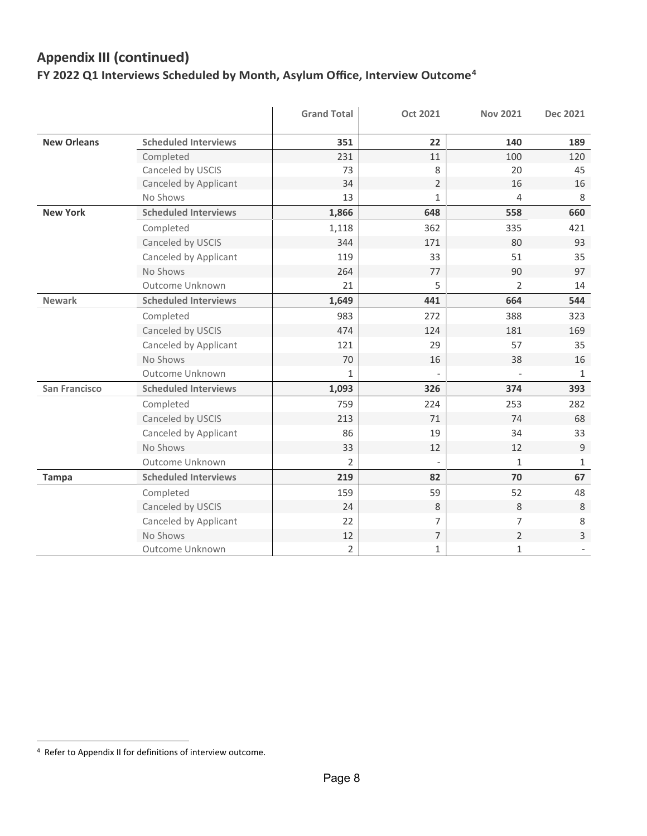# **FY 2022 Q1 Interviews Scheduled by Month, Asylum Office, Interview Outcome[4](#page-7-0)  Appendix III (continued)**

|                      |                             | <b>Grand Total</b> | <b>Oct 2021</b> | <b>Nov 2021</b> | Dec 2021     |
|----------------------|-----------------------------|--------------------|-----------------|-----------------|--------------|
| <b>New Orleans</b>   | <b>Scheduled Interviews</b> | 351                | 22              | 140             | 189          |
|                      | Completed                   | 231                | 11              | 100             | 120          |
|                      | Canceled by USCIS           | 73                 | 8               | 20              | 45           |
|                      | Canceled by Applicant       | 34                 | $\overline{2}$  | 16              | 16           |
|                      | No Shows                    | 13                 | $\mathbf{1}$    | 4               | 8            |
| <b>New York</b>      | <b>Scheduled Interviews</b> | 1,866              | 648             | 558             | 660          |
|                      | Completed                   | 1,118              | 362             | 335             | 421          |
|                      | Canceled by USCIS           | 344                | 171             | 80              | 93           |
|                      | Canceled by Applicant       | 119                | 33              | 51              | 35           |
|                      | No Shows                    | 264                | 77              | 90              | 97           |
|                      | Outcome Unknown             | 21                 | 5               | $\overline{2}$  | 14           |
| <b>Newark</b>        | <b>Scheduled Interviews</b> | 1,649              | 441             | 664             | 544          |
|                      | Completed                   | 983                | 272             | 388             | 323          |
|                      | Canceled by USCIS           | 474                | 124             | 181             | 169          |
|                      | Canceled by Applicant       | 121                | 29              | 57              | 35           |
|                      | No Shows                    | 70                 | 16              | 38              | 16           |
|                      | Outcome Unknown             | $\mathbf{1}$       |                 |                 | $\mathbf{1}$ |
| <b>San Francisco</b> | <b>Scheduled Interviews</b> | 1,093              | 326             | 374             | 393          |
|                      | Completed                   | 759                | 224             | 253             | 282          |
|                      | Canceled by USCIS           | 213                | 71              | 74              | 68           |
|                      | Canceled by Applicant       | 86                 | 19              | 34              | 33           |
|                      | No Shows                    | 33                 | 12              | 12              | 9            |
|                      | Outcome Unknown             | 2                  |                 | $\mathbf{1}$    | $\mathbf{1}$ |
| <b>Tampa</b>         | <b>Scheduled Interviews</b> | 219                | 82              | 70              | 67           |
|                      | Completed                   | 159                | 59              | 52              | 48           |
|                      | Canceled by USCIS           | 24                 | 8               | 8               | 8            |
|                      | Canceled by Applicant       | 22                 | 7               | $\overline{7}$  | 8            |
|                      | No Shows                    | 12                 | $\overline{7}$  | $\overline{2}$  | 3            |
|                      | Outcome Unknown             | $\overline{2}$     | 1               | $\mathbf{1}$    |              |

<span id="page-7-0"></span> 4 Refer to Appendix II for definitions of interview outcome.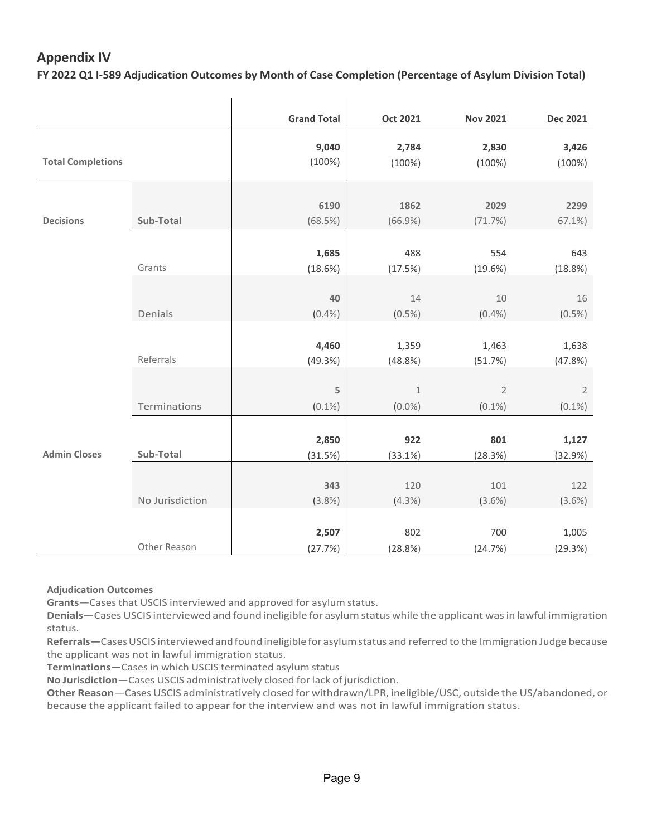## **Appendix IV**

 **FY 2022 Q1 I-589 Adjudication Outcomes by Month of Case Completion (Percentage of Asylum Division Total)**

|                          |                 | <b>Grand Total</b> | <b>Oct 2021</b> | <b>Nov 2021</b> | <b>Dec 2021</b> |
|--------------------------|-----------------|--------------------|-----------------|-----------------|-----------------|
|                          |                 |                    |                 |                 |                 |
|                          |                 | 9,040              | 2,784           | 2,830           | 3,426           |
| <b>Total Completions</b> |                 | (100%)             | (100%)          | (100%)          | (100%)          |
|                          |                 |                    |                 |                 |                 |
|                          |                 |                    |                 |                 |                 |
|                          |                 | 6190               | 1862            | 2029            | 2299            |
| <b>Decisions</b>         | Sub-Total       | (68.5%)            | (66.9%)         | (71.7%)         | $67.1\%$        |
|                          |                 |                    |                 |                 |                 |
|                          |                 | 1,685              | 488             | 554             | 643             |
|                          | Grants          | (18.6%)            | (17.5%)         | $(19.6\%)$      | (18.8%)         |
|                          |                 |                    |                 |                 |                 |
|                          |                 | 40                 | 14              | 10              | 16              |
|                          | Denials         | (0.4% )            | $(0.5\%)$       | (0.4% )         | (0.5%)          |
|                          |                 |                    |                 |                 |                 |
|                          |                 | 4,460              | 1,359           | 1,463           | 1,638           |
|                          | Referrals       | (49.3%)            | (48.8%)         | (51.7%)         | (47.8%)         |
|                          |                 |                    |                 |                 |                 |
|                          |                 | 5                  | $\,1\,$         | $\sqrt{2}$      | $\sqrt{2}$      |
|                          | Terminations    | $(0.1\%)$          | $(0.0\%)$       | $(0.1\%)$       | $(0.1\%)$       |
|                          |                 |                    |                 |                 |                 |
|                          |                 | 2,850              | 922             | 801             | 1,127           |
| <b>Admin Closes</b>      | Sub-Total       | (31.5%)            | (33.1%)         | (28.3%)         | (32.9%)         |
|                          |                 |                    |                 |                 |                 |
|                          |                 | 343                | 120             | 101             | 122             |
|                          | No Jurisdiction | (3.8%)             | (4.3%)          | $(3.6\%)$       | $(3.6\%)$       |
|                          |                 |                    |                 |                 |                 |
|                          |                 | 2,507              | 802             | 700             | 1,005           |
|                          | Other Reason    | (27.7%)            | (28.8%)         | (24.7%)         | (29.3%)         |

#### **Adjudication Outcomes**

**Grants**—Cases that USCIS interviewed and approved for asylum status.

 **Denials**—Cases USCIS interviewed and found ineligible for asylum status while the applicant was in lawful immigration status.

 **Referrals—**Cases USCIS interviewed and found ineligible for asylum status and referred to the Immigration Judge because the applicant was not in lawful immigration status.

**Terminations—**Cases in which USCIS terminated asylum status

**No Jurisdiction**—Cases USCIS administratively closed for lack of jurisdiction.

 **Other Reason**—Cases USCIS administratively closed for withdrawn/LPR, ineligible/USC, outside the US/abandoned, or because the applicant failed to appear for the interview and was not in lawful immigration status.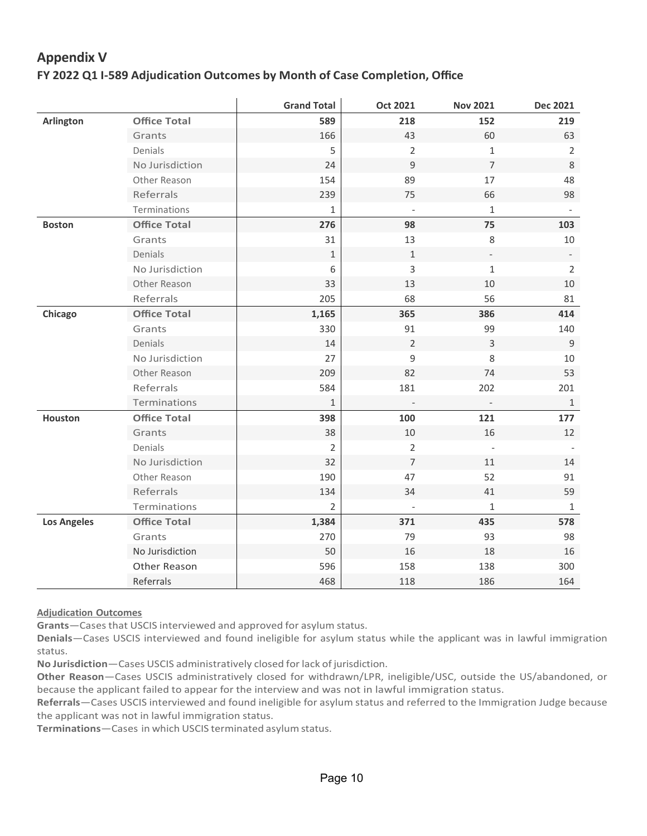## **Appendix V**

### **FY 2022 Q1 I-589 Adjudication Outcomes by Month of Case Completion, Office**

|                    |                     | <b>Grand Total</b> | <b>Oct 2021</b>          | <b>Nov 2021</b> | <b>Dec 2021</b> |
|--------------------|---------------------|--------------------|--------------------------|-----------------|-----------------|
| <b>Arlington</b>   | <b>Office Total</b> | 589                | 218                      | 152             | 219             |
|                    | Grants              | 166                | 43                       | 60              | 63              |
|                    | Denials             | 5                  | $\overline{2}$           | 1               | $\overline{2}$  |
|                    | No Jurisdiction     | 24                 | 9                        | $\overline{7}$  | $\,8\,$         |
|                    | Other Reason        | 154                | 89                       | 17              | 48              |
|                    | Referrals           | 239                | 75                       | 66              | 98              |
|                    | Terminations        | 1                  |                          | $1\,$           |                 |
| <b>Boston</b>      | <b>Office Total</b> | 276                | 98                       | 75              | 103             |
|                    | Grants              | 31                 | 13                       | $\,8\,$         | $10\,$          |
|                    | Denials             | $\mathbf 1$        | $\mathbf{1}$             |                 |                 |
|                    | No Jurisdiction     | 6                  | 3                        | $\mathbf{1}$    | $\overline{2}$  |
|                    | Other Reason        | 33                 | 13                       | $10\,$          | 10              |
|                    | Referrals           | 205                | 68                       | 56              | 81              |
| Chicago            | <b>Office Total</b> | 1,165              | 365                      | 386             | 414             |
|                    | Grants              | 330                | 91                       | 99              | 140             |
|                    | Denials             | 14                 | $\overline{2}$           | 3               | 9               |
|                    | No Jurisdiction     | 27                 | $\mathsf g$              | 8               | 10              |
|                    | Other Reason        | 209                | 82                       | 74              | 53              |
|                    | Referrals           | 584                | 181                      | 202             | 201             |
|                    | Terminations        | $\mathbf{1}$       |                          |                 | $\mathbf{1}$    |
| <b>Houston</b>     | <b>Office Total</b> | 398                | 100                      | 121             | 177             |
|                    | Grants              | 38                 | $10\,$                   | 16              | 12              |
|                    | Denials             | 2                  | $\overline{2}$           |                 |                 |
|                    | No Jurisdiction     | 32                 | $\overline{7}$           | 11              | 14              |
|                    | Other Reason        | 190                | 47                       | 52              | 91              |
|                    | Referrals           | 134                | 34                       | 41              | 59              |
|                    | Terminations        | 2                  | $\overline{\phantom{a}}$ | 1               | $\mathbf{1}$    |
| <b>Los Angeles</b> | <b>Office Total</b> | 1,384              | 371                      | 435             | 578             |
|                    | Grants              | 270                | 79                       | 93              | 98              |
|                    | No Jurisdiction     | 50                 | 16                       | 18              | 16              |
|                    | Other Reason        | 596                | 158                      | 138             | 300             |
|                    | Referrals           | 468                | 118                      | 186             | 164             |

**Adjudication Outcomes**

**Grants**—Cases that USCIS interviewed and approved for asylum status.

 **Denials**—Cases USCIS interviewed and found ineligible for asylum status while the applicant was in lawful immigration status.

**No Jurisdiction**—Cases USCIS administratively closed for lack of jurisdiction.

 **Other Reason**—Cases USCIS administratively closed for withdrawn/LPR, ineligible/USC, outside the US/abandoned, or because the applicant failed to appear for the interview and was not in lawful immigration status.

 **Referrals**—Cases USCIS interviewed and found ineligible for asylum status and referred to the Immigration Judge because the applicant was not in lawful immigration status.

**Terminations**—Cases in which USCIS terminated asylum status.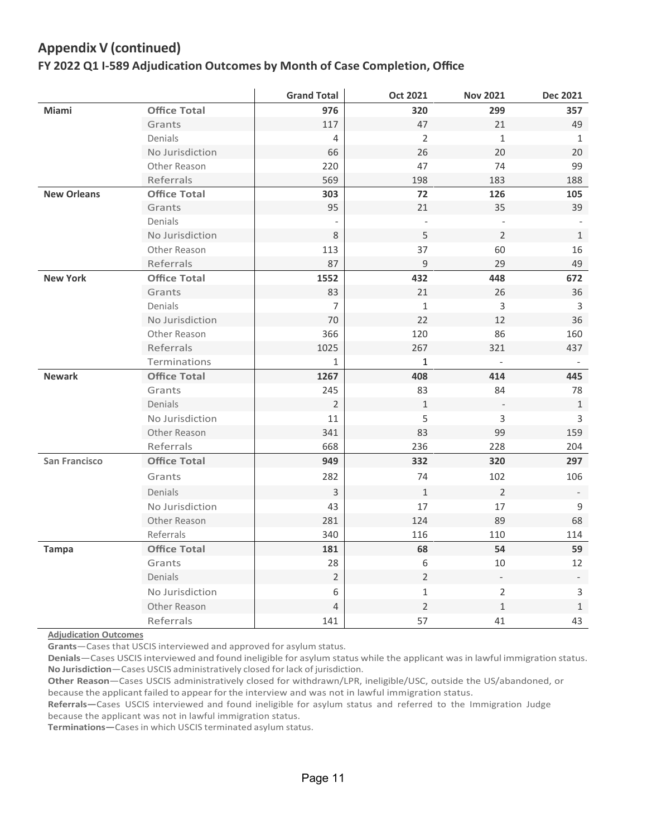## **Appendix V (continued)**

### **FY 2022 Q1 I-589 Adjudication Outcomes by Month of Case Completion, Office**

|                      |                     | <b>Grand Total</b>       | <b>Oct 2021</b>          | <b>Nov 2021</b>          | <b>Dec 2021</b>          |
|----------------------|---------------------|--------------------------|--------------------------|--------------------------|--------------------------|
| Miami                | <b>Office Total</b> | 976                      | 320                      | 299                      | 357                      |
|                      | Grants              | 117                      | 47                       | 21                       | 49                       |
|                      | Denials             | $\overline{4}$           | $\overline{2}$           | $\mathbf{1}$             | $\mathbf{1}$             |
|                      | No Jurisdiction     | 66                       | 26                       | 20                       | 20                       |
|                      | Other Reason        | 220                      | 47                       | 74                       | 99                       |
|                      | Referrals           | 569                      | 198                      | 183                      | 188                      |
| <b>New Orleans</b>   | <b>Office Total</b> | 303                      | 72                       | 126                      | 105                      |
|                      | Grants              | 95                       | 21                       | 35                       | 39                       |
|                      | <b>Denials</b>      | $\overline{\phantom{a}}$ | $\overline{\phantom{a}}$ | $\overline{\phantom{a}}$ |                          |
|                      | No Jurisdiction     | 8                        | 5                        | $\sqrt{2}$               | $1\,$                    |
|                      | Other Reason        | 113                      | 37                       | 60                       | 16                       |
|                      | Referrals           | 87                       | 9                        | 29                       | 49                       |
| <b>New York</b>      | <b>Office Total</b> | 1552                     | 432                      | 448                      | 672                      |
|                      | Grants              | 83                       | 21                       | 26                       | 36                       |
|                      | Denials             | 7                        | $\mathbf{1}$             | $\mathsf{3}$             | 3                        |
|                      | No Jurisdiction     | $70\,$                   | 22                       | 12                       | 36                       |
|                      | Other Reason        | 366                      | 120                      | 86                       | 160                      |
|                      | <b>Referrals</b>    | 1025                     | 267                      | 321                      | 437                      |
|                      | Terminations        | 1                        | $\mathbf{1}$             | $\overline{\phantom{a}}$ |                          |
| <b>Newark</b>        | <b>Office Total</b> | 1267                     | 408                      | 414                      | 445                      |
|                      | Grants              | 245                      | 83                       | 84                       | 78                       |
|                      | Denials             | $\overline{2}$           | $\mathbf{1}$             |                          | $\mathbf{1}$             |
|                      | No Jurisdiction     | 11                       | 5                        | $\overline{3}$           | 3                        |
|                      | Other Reason        | 341                      | 83                       | 99                       | 159                      |
|                      | Referrals           | 668                      | 236                      | 228                      | 204                      |
| <b>San Francisco</b> | <b>Office Total</b> | 949                      | 332                      | 320                      | 297                      |
|                      | Grants              | 282                      | 74                       | 102                      | 106                      |
|                      | <b>Denials</b>      | $\overline{3}$           | $\mathbf{1}$             | $\overline{2}$           |                          |
|                      | No Jurisdiction     | 43                       | 17                       | 17                       | 9                        |
|                      | Other Reason        | 281                      | 124                      | 89                       | 68                       |
|                      | Referrals           | 340                      | 116                      | 110                      | 114                      |
| <b>Tampa</b>         | <b>Office Total</b> | 181                      | 68                       | 54                       | 59                       |
|                      | Grants              | 28                       | 6                        | $10\,$                   | 12                       |
|                      | Denials             | $\overline{2}$           | $\overline{2}$           |                          | $\overline{\phantom{a}}$ |
|                      | No Jurisdiction     | 6                        | $\mathbf{1}$             | $\overline{2}$           | $\mathsf{3}$             |
|                      | Other Reason        | $\overline{4}$           | $\overline{2}$           | $\mathbf 1$              | $\mathbf{1}$             |
|                      | Referrals           | 141                      | 57                       | 41                       | 43                       |

 **Adjudication Outcomes**

**Grants**—Cases that USCIS interviewed and approved for asylum status.

 **Denials**—Cases USCIS interviewed and found ineligible for asylum status while the applicant was in lawful immigration status. **No Jurisdiction**—Cases USCIS administratively closed for lack of jurisdiction.

 **Other Reason**—Cases USCIS administratively closed for withdrawn/LPR, ineligible/USC, outside the US/abandoned, or because the applicant failed to appear for the interview and was not in lawful immigration status.

 **Referrals—**Cases USCIS interviewed and found ineligible for asylum status and referred to the Immigration Judge because the applicant was not in lawful immigration status.

**Terminations—**Cases in which USCIS terminated asylum status.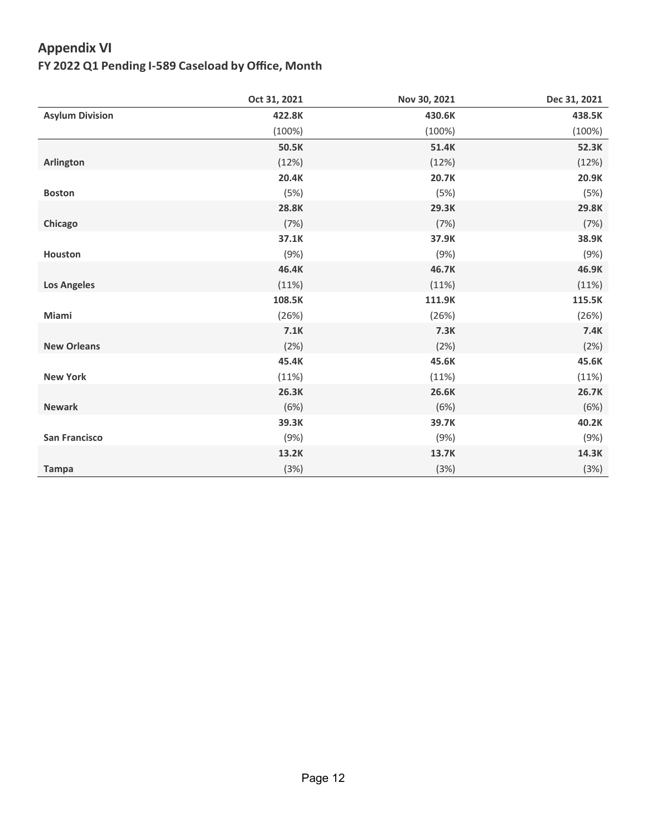## **Appendix VI**

 **FY 2022 Q1 Pending I-589 Caseload by Office, Month**

|                        | Oct 31, 2021 | Nov 30, 2021 | Dec 31, 2021 |
|------------------------|--------------|--------------|--------------|
| <b>Asylum Division</b> | 422.8K       | 430.6K       | 438.5K       |
|                        | $(100\%)$    | (100%)       | (100%)       |
|                        | 50.5K        | 51.4K        | 52.3K        |
| Arlington              | (12%)        | (12%)        | (12%)        |
|                        | 20.4K        | 20.7K        | 20.9K        |
| <b>Boston</b>          | (5%)         | (5%)         | (5%)         |
|                        | 28.8K        | 29.3K        | 29.8K        |
| Chicago                | (7%)         | (7%)         | (7%)         |
|                        | 37.1K        | 37.9K        | 38.9K        |
| <b>Houston</b>         | (9%)         | (9%)         | (9%)         |
|                        | 46.4K        | 46.7K        | 46.9K        |
| <b>Los Angeles</b>     | (11%)        | (11%)        | (11%)        |
|                        | 108.5K       | 111.9K       | 115.5K       |
| Miami                  | (26%)        | (26%)        | (26%)        |
|                        | 7.1K         | 7.3K         | 7.4K         |
| <b>New Orleans</b>     | (2%)         | (2%)         | (2%)         |
|                        | 45.4K        | 45.6K        | 45.6K        |
| <b>New York</b>        | (11%)        | (11%)        | (11%)        |
|                        | 26.3K        | 26.6K        | 26.7K        |
| <b>Newark</b>          | (6%)         | (6%)         | (6%)         |
|                        | 39.3K        | 39.7K        | 40.2K        |
| <b>San Francisco</b>   | (9%)         | (9%)         | (9%)         |
|                        | 13.2K        | 13.7K        | 14.3K        |
| <b>Tampa</b>           | (3%)         | (3%)         | (3%)         |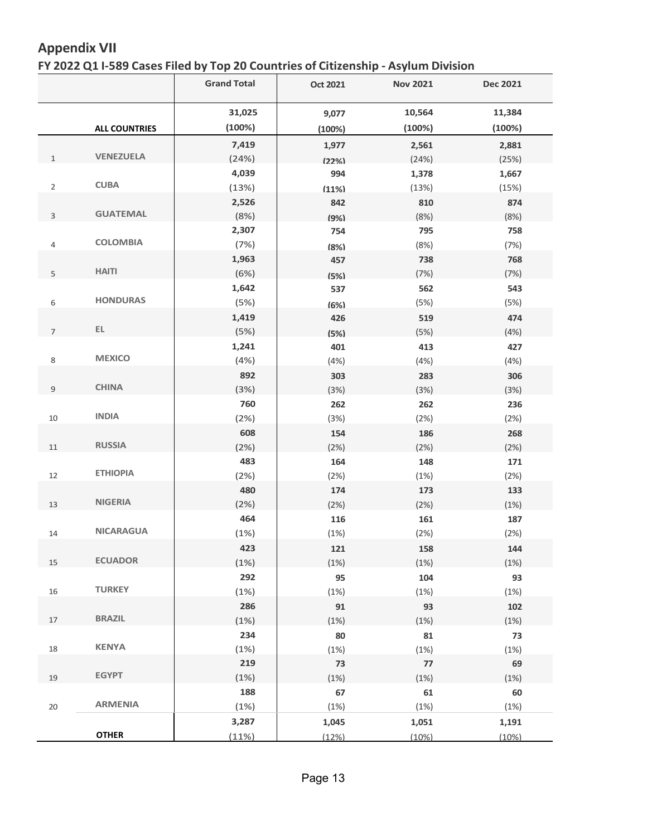## **Appendix VII**

#### **FY 2022 Q1 I-589 Cases Filed by Top 20 Countries of Citizenship - Asylum Division**

|                |                      | <b>Grand Total</b> | <b>Oct 2021</b> | <b>Nov 2021</b> | <b>Dec 2021</b> |
|----------------|----------------------|--------------------|-----------------|-----------------|-----------------|
|                |                      | 31,025             | 9,077           | 10,564          | 11,384          |
|                | <b>ALL COUNTRIES</b> | (100%)             | (100%)          | (100%)          | (100%)          |
|                |                      | 7,419              | 1,977           | 2,561           | 2,881           |
| $\mathbf{1}$   | <b>VENEZUELA</b>     | (24%)              | (22%            | (24%)           | (25%)           |
|                |                      | 4,039              | 994             | 1,378           | 1,667           |
| $\overline{2}$ | <b>CUBA</b>          | (13%)              | (11%)           | (13%)           | (15%)           |
|                |                      | 2,526              | 842             | 810             | 874             |
| 3              | <b>GUATEMAL</b>      | (8%)               | (9%)            | (8%)            | (8%)            |
|                |                      | 2,307              | 754             | 795             | 758             |
| $\sqrt{4}$     | <b>COLOMBIA</b>      | (7%)               | (8%)            | (8%)            | (7%)            |
|                |                      | 1,963              | 457             | 738             | 768             |
| 5              | <b>HAITI</b>         | (6%)               | (5%)            | (7%)            | (7%)            |
|                |                      | 1,642              | 537             | 562             | 543             |
| 6              | <b>HONDURAS</b>      | (5%)               | (6%)            | (5%)            | (5%)            |
|                |                      | 1,419              | 426             | 519             | 474             |
| $\overline{7}$ | EL.                  | (5%)               | (5%)            | (5%)            | (4% )           |
|                |                      | 1,241              | 401             | 413             | 427             |
| 8              | <b>MEXICO</b>        | (4%)               | (4% )           | (4% )           | (4% )           |
|                |                      | 892                | 303             | 283             | 306             |
| 9              | <b>CHINA</b>         | (3%)               | (3%)            | (3%)            | (3%)            |
|                |                      | 760                | 262             | 262             | 236             |
| 10             | <b>INDIA</b>         | (2%)               | (3%)            | (2%)            | (2%)            |
|                |                      | 608                | 154             | 186             | 268             |
| 11             | <b>RUSSIA</b>        | (2%)               | (2%)            | (2%)            | (2%)            |
|                |                      | 483                | 164             | 148             | 171             |
| 12             | <b>ETHIOPIA</b>      | (2%)               | (2%)            | (1%)            | (2%)            |
|                | <b>NIGERIA</b>       | 480                | 174             | 173             | 133             |
| 13             |                      | (2%)               | (2%)            | (2%)            | (1%)            |
|                | <b>NICARAGUA</b>     | 464                | 116             | 161             | 187             |
| 14             |                      | (1%)               | (1%)            | (2%)            | (2%)            |
|                | <b>ECUADOR</b>       | 423                | 121             | 158             | 144             |
| 15             |                      | (1%)               | (1%)            | (1%)            | (1%)            |
|                | <b>TURKEY</b>        | 292                | 95              | 104             | 93              |
| 16             |                      | (1%)               | (1%)            | (1%)            | (1%)            |
|                | <b>BRAZIL</b>        | 286                | 91              | 93              | 102             |
| 17             |                      | (1%)               | (1%)            | (1%)            | (1%)            |
|                | <b>KENYA</b>         | 234                | 80              | 81              | 73              |
| 18             |                      | (1%)<br>219        | (1%)            | (1%)            | (1%)<br>69      |
| 19             | <b>EGYPT</b>         | (1%)               | 73<br>(1%)      | 77<br>(1%)      | (1%)            |
|                |                      | 188                | 67              |                 | 60              |
| 20             | <b>ARMENIA</b>       | (1%)               | (1%)            | 61<br>(1%)      | (1%)            |
|                |                      | 3,287              | 1,045           | 1,051           | 1,191           |
|                | <b>OTHER</b>         | (11%)              | (12%)           | (10%)           | (10%)           |
|                |                      |                    |                 |                 |                 |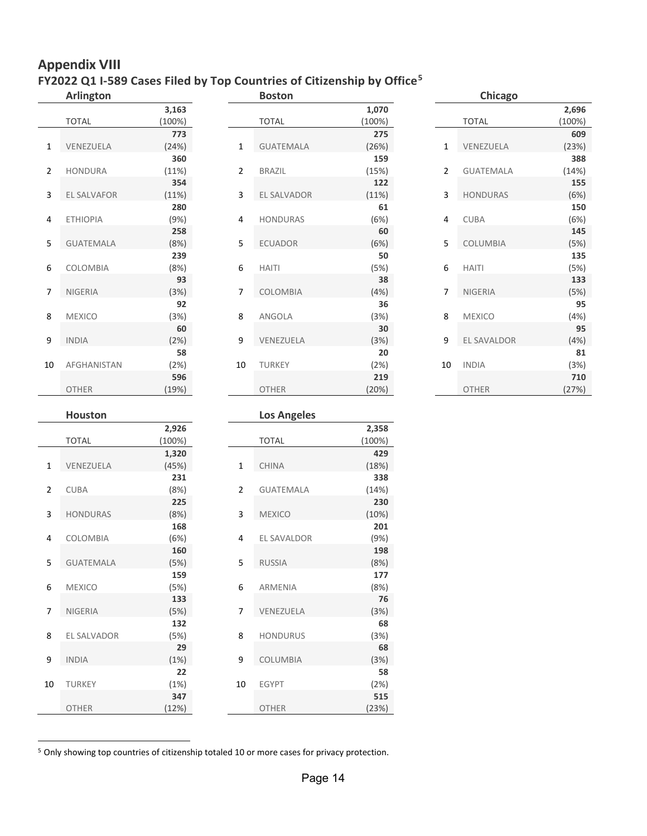### **Appendix VIII FY2022 Q1 I-589 Cases Filed by Top Countries of Citizenship by Office[5](#page-13-0)**

|                | <b>Arlington</b> |             |                | <b>Boston</b>      |            |                | Chicago          |             |
|----------------|------------------|-------------|----------------|--------------------|------------|----------------|------------------|-------------|
|                |                  | 3,163       |                |                    | 1,070      |                |                  | 2,696       |
|                | <b>TOTAL</b>     | (100%)      |                | <b>TOTAL</b>       | (100%)     |                | <b>TOTAL</b>     | (100%)      |
|                |                  | 773         |                |                    | 275        |                |                  | 609         |
| 1              | VENEZUELA        | (24%)       | $\mathbf{1}$   | <b>GUATEMALA</b>   | (26%)      | $\mathbf{1}$   | VENEZUELA        | (23%)       |
|                |                  | 360         |                |                    | 159        |                |                  | 388         |
| $\overline{2}$ | HONDURA          | (11%)       | $\overline{2}$ | BRAZIL             | (15%)      | $\overline{2}$ | <b>GUATEMALA</b> | (14%)       |
|                |                  | 354         |                |                    | 122        |                |                  | 155         |
| 3              | EL SALVAFOR      | (11%)       | 3              | EL SALVADOR        | (11%)      | 3              | <b>HONDURAS</b>  | (6%)        |
|                |                  | 280         |                |                    | 61         |                |                  | 150         |
| 4              | <b>ETHIOPIA</b>  | (9%)<br>258 | 4              | HONDURAS           | (6%)<br>60 | 4              | <b>CUBA</b>      | (6%)<br>145 |
| 5              | <b>GUATEMALA</b> | (8%)        | 5              | ECUADOR            | (6%)       | 5              | COLUMBIA         | (5%)        |
|                |                  | 239         |                |                    | 50         |                |                  | 135         |
| 6              | COLOMBIA         | (8%)        | 6              | <b>HAITI</b>       | (5%)       | 6              | <b>HAITI</b>     | (5%)        |
|                |                  | 93          |                |                    | 38         |                |                  | 133         |
| 7              | NIGERIA          | (3%)        | 7              | COLOMBIA           | (4%)       | 7              | NIGERIA          | (5%)        |
|                |                  | 92          |                |                    | 36         |                |                  | 95          |
| 8              | <b>MEXICO</b>    | (3%)        | 8              | ANGOLA             | (3%)       | 8              | <b>MEXICO</b>    | (4%)        |
|                |                  | 60          |                |                    | 30         |                |                  | 95          |
| 9              | <b>INDIA</b>     | (2%)        | 9              | VENEZUELA          | (3%)       | 9              | EL SAVALDOR      | (4%)        |
|                |                  | 58          |                |                    | 20         |                |                  | 81          |
| 10             | AFGHANISTAN      | (2%)        | 10             | <b>TURKEY</b>      | (2%)       | 10             | <b>INDIA</b>     | (3%)        |
|                |                  | 596         |                |                    | 219        |                |                  | 710         |
|                | OTHER            | (19%)       |                | OTHER              | (20%)      |                | OTHER            | (27%)       |
|                | <b>Houston</b>   |             |                |                    |            |                |                  |             |
|                |                  | 2,926       |                | <b>Los Angeles</b> | 2,358      |                |                  |             |
|                | <b>TOTAL</b>     | (100%)      |                | <b>TOTAL</b>       | (100%)     |                |                  |             |
|                |                  | 1,320       |                |                    | 429        |                |                  |             |
| $\mathbf{1}$   | VENEZUELA        | (45%)       | $\mathbf 1$    | CHINA              | (18%)      |                |                  |             |
|                |                  | 231         |                |                    | 338        |                |                  |             |
| $\overline{2}$ | CUBA             | (8%)        | $\overline{2}$ | GUATEMALA          | (14%)      |                |                  |             |
|                |                  | 225         |                |                    | 230        |                |                  |             |
| 3              | <b>HONDURAS</b>  | (8%)        | 3              | MEXICO             | (10%)      |                |                  |             |
|                |                  | 168         |                |                    | 201        |                |                  |             |
| 4              | COLOMBIA         | (6%)        | 4              | EL SAVALDOR        | (9%)       |                |                  |             |
|                |                  | 160         |                |                    | 198        |                |                  |             |
| 5              | GUATEMALA        | (5%)        | 5              | RUSSIA             | (8%)       |                |                  |             |
|                |                  | 159         |                |                    | 177        |                |                  |             |
| 6              | <b>MEXICO</b>    | (5%)        | 6              | ARMENIA            | (8%)       |                |                  |             |
|                |                  | 133         |                |                    | 76         |                |                  |             |
| 7              | NIGERIA          | (5%)        | 7              | VENEZUELA          | (3%)       |                |                  |             |
|                |                  | 132         |                |                    | 68         |                |                  |             |
| 8              | EL SALVADOR      | (5%)        | 8              | <b>HONDURUS</b>    | (3%)       |                |                  |             |
|                |                  | 29          |                |                    | 68         |                |                  |             |
| 9              | <b>INDIA</b>     | (1%)        | 9              | COLUMBIA           | (3%)       |                |                  |             |
|                |                  | 22          |                |                    | 58         |                |                  |             |

<span id="page-13-0"></span>5 Only showing top countries of citizenship totaled 10 or more cases for privacy protection.

10 TURKEY (1%) 10 EGYPT (2%)

OTHER (12%) OTHER (23%)

**347 515**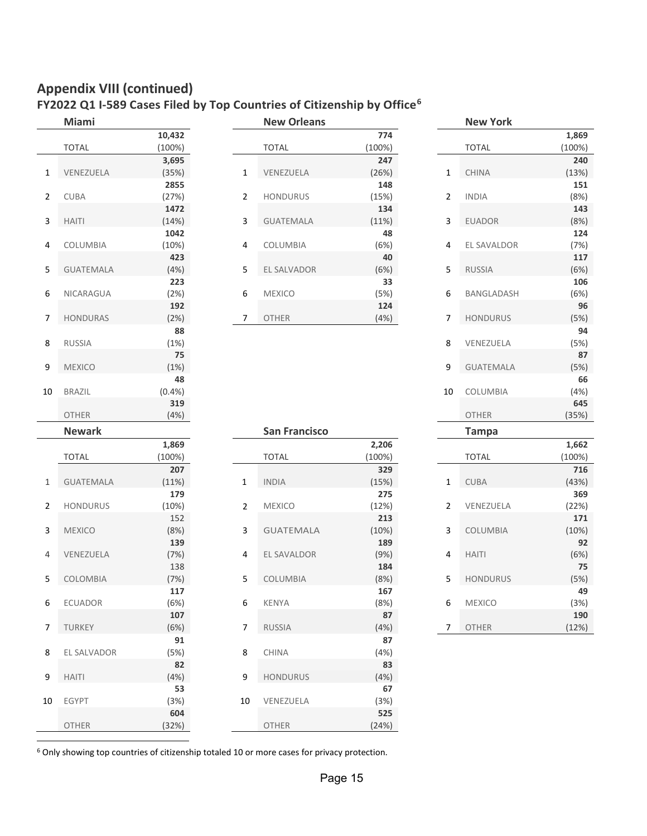# **Appendix VIII(continued)**

### **FY2022 Q1 I-589 Cases Filed by Top Countries of Citizenship by Office[6](#page-14-0)**

|                | Miami            |             |                         | <b>New Orleans</b>   |             |                | <b>New York</b>    |        |
|----------------|------------------|-------------|-------------------------|----------------------|-------------|----------------|--------------------|--------|
|                |                  | 10,432      |                         |                      | 774         |                |                    | 1,869  |
|                | <b>TOTAL</b>     | (100%)      |                         | <b>TOTAL</b>         | (100%)      |                | <b>TOTAL</b>       | (100%) |
|                |                  | 3,695       |                         |                      | 247         |                |                    | 240    |
| 1              | VENEZUELA        | (35%)       | $\mathbf{1}$            | VENEZUELA            | (26%)       | $\mathbf{1}$   | <b>CHINA</b>       | (13%)  |
|                |                  | 2855        |                         |                      | 148         |                |                    | 151    |
| $\overline{2}$ | <b>CUBA</b>      | (27%)       | 2                       | <b>HONDURUS</b>      | (15%)       | $\overline{2}$ | <b>INDIA</b>       | (8%)   |
|                |                  | 1472        |                         |                      | 134         |                |                    | 143    |
| 3              | <b>HAITI</b>     | (14%)       | 3                       | <b>GUATEMALA</b>     | (11%)       | 3              | <b>EUADOR</b>      | (8%)   |
|                |                  | 1042        |                         |                      | 48          |                |                    | 124    |
| 4              | COLUMBIA         | (10%)       | $\overline{4}$          | COLUMBIA             | (6%)        | 4              | <b>EL SAVALDOR</b> | (7%)   |
|                |                  | 423         |                         |                      | 40          |                |                    | 117    |
| 5              | <b>GUATEMALA</b> | (4%)        | 5                       | EL SALVADOR          | (6%)        | 5              | <b>RUSSIA</b>      | (6%)   |
|                |                  | 223         |                         |                      | 33          |                |                    | 106    |
| 6              | NICARAGUA        | (2%)        | 6                       | <b>MEXICO</b>        | (5%)        | 6              | BANGLADASH         | (6%)   |
|                |                  | 192         |                         |                      | 124         |                |                    | 96     |
| 7              | <b>HONDURAS</b>  | (2%)        | 7                       | OTHER                | (4%)        | 7              | <b>HONDURUS</b>    | (5%)   |
|                |                  | 88          |                         |                      |             |                |                    | 94     |
| 8              | RUSSIA           | (1%)        |                         |                      |             | 8              | VENEZUELA          | (5%)   |
|                |                  | 75          |                         |                      |             |                |                    | 87     |
| 9              | <b>MEXICO</b>    | (1%)        |                         |                      |             | 9              | <b>GUATEMALA</b>   | (5%)   |
|                |                  | 48          |                         |                      |             |                |                    | 66     |
| 10             | <b>BRAZIL</b>    | (0.4% )     |                         |                      |             | 10             | COLUMBIA           | (4%)   |
|                |                  | 319         |                         |                      |             |                |                    | 645    |
|                | <b>OTHER</b>     | (4%)        |                         |                      |             |                | <b>OTHER</b>       | (35%)  |
|                | <b>Newark</b>    |             |                         | <b>San Francisco</b> |             |                | <b>Tampa</b>       |        |
|                |                  | 1,869       |                         |                      |             |                |                    |        |
|                |                  |             |                         |                      |             |                |                    |        |
|                |                  |             |                         |                      | 2,206       |                |                    | 1,662  |
|                | <b>TOTAL</b>     | (100%)      |                         | <b>TOTAL</b>         | (100%)      |                | <b>TOTAL</b>       | (100%) |
| $\mathbf{1}$   |                  | 207         |                         |                      | 329         |                |                    | 716    |
|                | <b>GUATEMALA</b> | (11%)       | $\mathbf{1}$            | <b>INDIA</b>         | (15%)       | $\mathbf{1}$   | <b>CUBA</b>        | (43%)  |
|                |                  | 179         |                         |                      | 275         |                |                    | 369    |
| $\overline{2}$ | <b>HONDURUS</b>  | (10%)       | $\overline{2}$          | <b>MEXICO</b>        | (12%)       | $\overline{2}$ | VENEZUELA          | (22%)  |
|                |                  | 152         |                         |                      | 213         |                |                    | 171    |
| 3              | <b>MEXICO</b>    | (8%)        | $\overline{\mathbf{3}}$ | <b>GUATEMALA</b>     | (10%)       | 3              | COLUMBIA           | (10%)  |
| 4              |                  | 139         |                         |                      | 189         | 4              |                    | 92     |
|                | VENEZUELA        | (7%)        | 4                       | EL SAVALDOR          | (9%)        |                | <b>HAITI</b>       | (6%)   |
|                |                  | 138         |                         |                      | 184         |                |                    | 75     |
| 5              | COLOMBIA         | (7%)        | 5                       | COLUMBIA             | (8%)        | 5              | <b>HONDURUS</b>    | (5%)   |
|                |                  | 117         |                         |                      | 167         |                |                    | 49     |
| 6              | <b>ECUADOR</b>   | (6%)        | 6                       | <b>KENYA</b>         | (8%)        | 6              | <b>MEXICO</b>      | (3%)   |
|                |                  | 107         |                         |                      | 87          |                |                    | 190    |
| 7              | TURKEY           | (6%)        | $\overline{7}$          | <b>RUSSIA</b>        | (4%)        | 7              | <b>OTHER</b>       | (12%)  |
|                |                  | 91          |                         |                      | 87          |                |                    |        |
| 8              | EL SALVADOR      | (5%)        | 8                       | <b>CHINA</b>         | (4%)        |                |                    |        |
|                |                  | 82          |                         |                      | 83          |                |                    |        |
| 9              | <b>HAITI</b>     | (4%)        | 9                       | <b>HONDURUS</b>      | (4%)        |                |                    |        |
|                |                  | 53          |                         |                      | 67          |                |                    |        |
| 10             | <b>EGYPT</b>     | (3%)<br>604 | 10                      | VENEZUELA            | (3%)<br>525 |                |                    |        |

| IVIIAIIII        |        |                | <b>IVEW UITEGIIS</b> |        |                | <b>IVEW IUIN</b> |        |
|------------------|--------|----------------|----------------------|--------|----------------|------------------|--------|
|                  | 10,432 |                |                      | 774    |                |                  | 1,869  |
| TOTAL            | (100%) |                | <b>TOTAL</b>         | (100%) |                | <b>TOTAL</b>     | (100%) |
|                  | 3,695  |                |                      | 247    |                |                  | 240    |
| VENEZUELA        | (35%)  | 1              | VENEZUELA            | (26%)  | 1              | <b>CHINA</b>     | (13%)  |
|                  | 2855   |                |                      | 148    |                |                  | 151    |
| CUBA             | (27%)  | $\overline{2}$ | <b>HONDURUS</b>      | (15%)  | $\overline{2}$ | <b>INDIA</b>     | (8%)   |
|                  | 1472   |                |                      | 134    |                |                  | 143    |
| <b>HAITI</b>     | (14%)  | 3              | <b>GUATEMALA</b>     | (11%)  | 3              | <b>EUADOR</b>    | (8%)   |
|                  | 1042   |                |                      | 48     |                |                  | 124    |
| COLUMBIA         | (10%)  | 4              | COLUMBIA             | (6%)   | 4              | EL SAVALDOR      | (7%)   |
|                  | 423    |                |                      | 40     |                |                  | 117    |
| <b>GUATEMALA</b> | (4%)   | 5              | EL SALVADOR          | (6%)   | 5              | <b>RUSSIA</b>    | (6%)   |
|                  | 223    |                |                      | 33     |                |                  | 106    |
| NICARAGUA        | (2%)   | 6              | <b>MEXICO</b>        | (5%)   | 6              | BANGLADASH       | (6%)   |
|                  | 192    |                |                      | 124    |                |                  | 96     |
| <b>HONDURAS</b>  | (2%)   | 7              | <b>OTHER</b>         | (4%)   | 7              | <b>HONDURUS</b>  | (5%)   |
|                  |        |                |                      |        |                |                  |        |

|        |                | טווטטווט שיטו        |        |                | .                 |        |
|--------|----------------|----------------------|--------|----------------|-------------------|--------|
| 432    |                |                      | 774    |                |                   | 1,869  |
| 0%)    |                | <b>TOTAL</b>         | (100%) |                | <b>TOTAL</b>      | (100%) |
| 695    |                |                      | 247    |                |                   | 240    |
| 5%)    | $\mathbf{1}$   | VENEZUELA            | (26%)  | $\mathbf{1}$   | <b>CHINA</b>      | (13%)  |
| 855    |                |                      | 148    |                |                   | 151    |
| 7%)    | $\overline{2}$ | <b>HONDURUS</b>      | (15%)  | $\overline{2}$ | <b>INDIA</b>      | (8%)   |
| 472    |                |                      | 134    |                |                   | 143    |
| 4%)    | 3              | <b>GUATEMALA</b>     | (11%)  | 3              | <b>EUADOR</b>     | (8%)   |
| 042    |                |                      | 48     |                |                   | 124    |
| 0%)    | 4              | COLUMBIA             | (6%)   | 4              | EL SAVALDOR       | (7%)   |
| 423    |                |                      | 40     |                |                   | 117    |
| 4%)    | 5              | EL SALVADOR          | (6%)   | 5              | <b>RUSSIA</b>     | (6%)   |
| 223    |                |                      | 33     |                |                   | 106    |
| 2%)    | 6              | <b>MEXICO</b>        | (5%)   | 6              | <b>BANGLADASH</b> | (6%)   |
| 192    |                |                      | 124    |                |                   | 96     |
| $2\%)$ | 7              | <b>OTHER</b>         | (4%)   | 7              | <b>HONDURUS</b>   | (5%)   |
| 88     |                |                      |        |                |                   | 94     |
| 1%)    |                |                      |        | 8              | VENEZUELA         | (5%)   |
| 75     |                |                      |        |                |                   | 87     |
| 1%)    |                |                      |        | 9              | <b>GUATEMALA</b>  | (5%)   |
| 48     |                |                      |        |                |                   | 66     |
| 4%)    |                |                      |        | 10             | COLUMBIA          | (4%)   |
| 319    |                |                      |        |                |                   | 645    |
| 4%)    |                |                      |        |                | <b>OTHER</b>      | (35%)  |
|        |                | <b>San Francisco</b> |        |                | <b>Tampa</b>      |        |
| 869    |                |                      | 2,206  |                |                   | 1,662  |
| 0%)    |                | <b>TOTAL</b>         | (100%) |                | <b>TOTAL</b>      | (100%) |
|        |                |                      |        |                |                   |        |

|                | <b>Newark</b>    |        |                | <b>San Francisco</b> |        | <b>Tampa</b>         |        |
|----------------|------------------|--------|----------------|----------------------|--------|----------------------|--------|
|                |                  | 1,869  |                |                      | 2,206  |                      | 1,662  |
|                | <b>TOTAL</b>     | (100%) |                | <b>TOTAL</b>         | (100%) | <b>TOTAL</b>         | (100%) |
|                |                  | 207    |                |                      | 329    |                      | 716    |
| 1              | <b>GUATEMALA</b> | (11%)  | $\mathbf{1}$   | <b>INDIA</b>         | (15%)  | 1<br><b>CUBA</b>     | (43%)  |
|                |                  | 179    |                |                      | 275    |                      | 369    |
| $\overline{2}$ | <b>HONDURUS</b>  | (10%)  | $\overline{2}$ | <b>MEXICO</b>        | (12%)  | 2<br>VENEZUELA       | (22%)  |
|                |                  | 152    |                |                      | 213    |                      | 171    |
| 3              | <b>MEXICO</b>    | (8%)   | 3              | <b>GUATEMALA</b>     | (10%)  | 3<br>COLUMBIA        | (10%)  |
|                |                  | 139    |                |                      | 189    |                      | 92     |
| 4              | VENEZUELA        | (7%)   | 4              | EL SAVALDOR          | (9%)   | 4<br><b>HAITI</b>    | (6%)   |
|                |                  | 138    |                |                      | 184    |                      | 75     |
| 5              | COLOMBIA         | (7%)   | 5              | COLUMBIA             | (8%)   | 5<br><b>HONDURUS</b> | (5%)   |
|                |                  | 117    |                |                      | 167    |                      | 49     |
| 6              | <b>ECUADOR</b>   | (6%)   | 6              | <b>KENYA</b>         | (8%)   | 6<br><b>MEXICO</b>   | (3%)   |
|                |                  | 107    |                |                      | 87     |                      | 190    |
| $\overline{7}$ | <b>TURKEY</b>    | (6%)   | 7              | RUSSIA               | (4%)   | OTHER<br>7           | (12%)  |
|                |                  | 91     |                |                      | 87     |                      |        |
| 8              | EL SALVADOR      | (5%)   | 8              | <b>CHINA</b>         | (4%)   |                      |        |
|                |                  | 82     |                |                      | 83     |                      |        |
| 9              | <b>HAITI</b>     | (4%)   | 9              | <b>HONDURUS</b>      | (4%)   |                      |        |
|                |                  | 53     |                |                      | 67     |                      |        |
| 10             | <b>EGYPT</b>     | (3%)   | 10             | VENEZUELA            | (3%)   |                      |        |
|                |                  | 604    |                |                      | 525    |                      |        |
|                | OTHER            | (32%)  |                | OTHER                | (24%)  |                      |        |
|                |                  |        |                |                      |        |                      |        |

|                | <b>Tampa</b>    |        |
|----------------|-----------------|--------|
|                |                 | 1,662  |
|                | <b>TOTAL</b>    | (100%) |
|                |                 | 716    |
| 1              | <b>CUBA</b>     | (43%)  |
|                |                 | 369    |
| $\overline{2}$ | VENEZUELA       | (22%)  |
|                |                 | 171    |
| 3              | <b>COLUMBIA</b> | (10%)  |
|                |                 | 92     |
| 4              | HAITI           | (6%)   |
|                |                 | 75     |
| 5              | <b>HONDURUS</b> | (5%)   |
|                |                 | 49     |
| 6              | <b>MEXICO</b>   | (3%)   |
|                |                 | 190    |
| 7              | OTHER           | (12%)  |

<span id="page-14-0"></span>6 Only showing top countries of citizenship totaled 10 or more cases for privacy protection.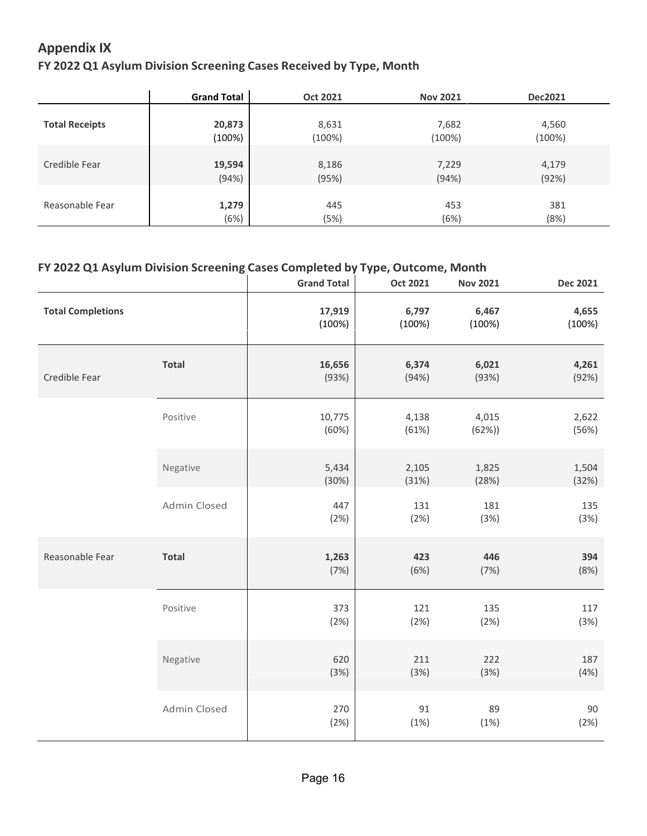## **Appendix IX**

#### **FY 2022 Q1 Asylum Division Screening Cases Received by Type, Month**

|                       | <b>Grand Total</b> | Oct 2021  | <b>Nov 2021</b> | <b>Dec2021</b> |  |
|-----------------------|--------------------|-----------|-----------------|----------------|--|
|                       |                    |           |                 |                |  |
| <b>Total Receipts</b> | 20,873             | 8,631     | 7,682           | 4,560          |  |
|                       | (100%)             | $(100\%)$ | (100%)          | $(100\%)$      |  |
|                       |                    |           |                 |                |  |
| Credible Fear         | 19,594             | 8,186     | 7,229           | 4,179          |  |
|                       | (94%)              | (95%)     | (94%)           | (92%)          |  |
|                       |                    |           |                 |                |  |
| Reasonable Fear       | 1,279              | 445       | 453             | 381            |  |
|                       | (6%)               | (5%)      | (6%)            | (8%)           |  |

#### **FY 2022 Q1 Asylum Division Screening Cases Completed by Type, Outcome, Month**

|                          |              | <b>Grand Total</b> | <b>Oct 2021</b> | <b>Nov 2021</b> | <b>Dec 2021</b> |
|--------------------------|--------------|--------------------|-----------------|-----------------|-----------------|
| <b>Total Completions</b> |              | 17,919<br>(100%)   | 6,797<br>(100%) | 6,467<br>(100%) | 4,655<br>(100%) |
| Credible Fear            | <b>Total</b> | 16,656<br>(93%)    | 6,374<br>(94%)  | 6,021<br>(93%)  | 4,261<br>(92%)  |
|                          | Positive     | 10,775<br>(60%)    | 4,138<br>(61%)  | 4,015<br>(62%)  | 2,622<br>(56%)  |
|                          | Negative     | 5,434<br>(30%)     | 2,105<br>(31%)  | 1,825<br>(28%)  | 1,504<br>(32%)  |
|                          | Admin Closed | 447<br>(2%)        | 131<br>(2%)     | 181<br>(3%)     | 135<br>(3%)     |
| Reasonable Fear          | <b>Total</b> | 1,263<br>(7%)      | 423<br>(6%)     | 446<br>(7%)     | 394<br>(8%)     |
|                          | Positive     | 373<br>(2%)        | 121<br>(2%)     | 135<br>(2%)     | 117<br>(3%)     |
|                          | Negative     | 620<br>(3%)        | 211<br>(3%)     | 222<br>(3%)     | 187<br>(4%)     |
|                          | Admin Closed | 270<br>(2%)        | 91<br>(1%)      | 89<br>(1%)      | 90<br>(2%)      |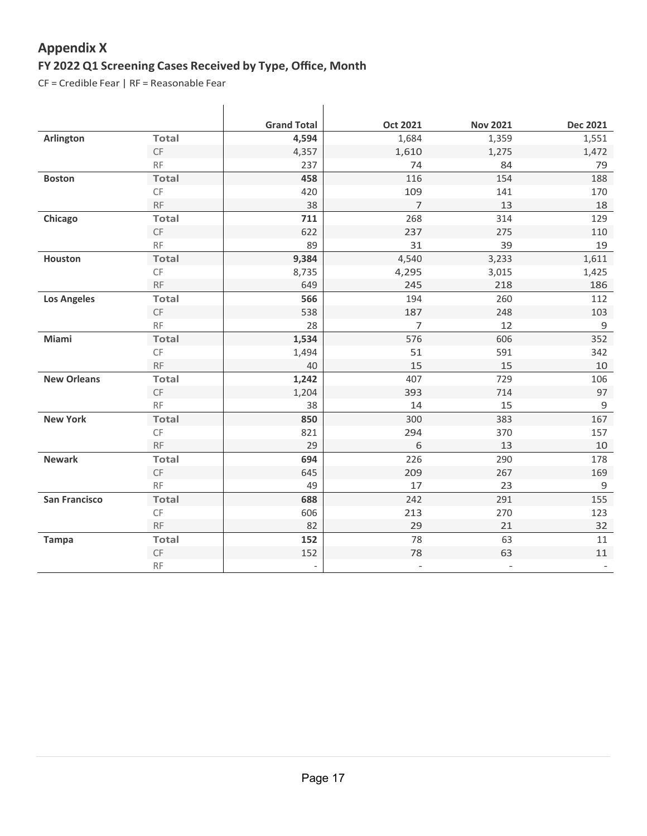## **FY 2022 Q1 Screening Cases Received by Type, Office, Month Appendix X**

CF = Credible Fear | RF = Reasonable Fear

|                      |               | <b>Grand Total</b>       | <b>Oct 2021</b>          | <b>Nov 2021</b>          | <b>Dec 2021</b> |
|----------------------|---------------|--------------------------|--------------------------|--------------------------|-----------------|
| <b>Arlington</b>     | <b>Total</b>  | 4,594                    | 1,684                    | 1,359                    | 1,551           |
|                      | $\mathsf{CF}$ | 4,357                    | 1,610                    | 1,275                    | 1,472           |
|                      | <b>RF</b>     | 237                      | 74                       | 84                       | 79              |
| <b>Boston</b>        | <b>Total</b>  | 458                      | 116                      | 154                      | 188             |
|                      | CF            | 420                      | 109                      | 141                      | 170             |
|                      | RF            | 38                       | $\overline{7}$           | 13                       | 18              |
| Chicago              | <b>Total</b>  | 711                      | 268                      | 314                      | 129             |
|                      | CF            | 622                      | 237                      | 275                      | 110             |
|                      | RF            | 89                       | 31                       | 39                       | 19              |
| Houston              | <b>Total</b>  | 9,384                    | 4,540                    | 3,233                    | 1,611           |
|                      | CF            | 8,735                    | 4,295                    | 3,015                    | 1,425           |
|                      | RF            | 649                      | 245                      | 218                      | 186             |
| <b>Los Angeles</b>   | <b>Total</b>  | 566                      | 194                      | 260                      | 112             |
|                      | $\mathsf{CF}$ | 538                      | 187                      | 248                      | 103             |
|                      | RF            | 28                       | $\overline{7}$           | 12                       | 9               |
| Miami                | <b>Total</b>  | 1,534                    | 576                      | 606                      | 352             |
|                      | CF            | 1,494                    | 51                       | 591                      | 342             |
|                      | RF            | 40                       | 15                       | 15                       | 10              |
| <b>New Orleans</b>   | <b>Total</b>  | 1,242                    | 407                      | 729                      | 106             |
|                      | $\mathsf{CF}$ | 1,204                    | 393                      | 714                      | 97              |
|                      | <b>RF</b>     | 38                       | 14                       | 15                       | 9               |
| <b>New York</b>      | <b>Total</b>  | 850                      | 300                      | 383                      | 167             |
|                      | CF            | 821                      | 294                      | 370                      | 157             |
|                      | RF            | 29                       | 6                        | 13                       | 10              |
| <b>Newark</b>        | <b>Total</b>  | 694                      | 226                      | 290                      | 178             |
|                      | CF            | 645                      | 209                      | 267                      | 169             |
|                      | <b>RF</b>     | 49                       | 17                       | 23                       | $\mathsf 9$     |
| <b>San Francisco</b> | <b>Total</b>  | 688                      | 242                      | 291                      | 155             |
|                      | CF            | 606                      | 213                      | 270                      | 123             |
|                      | <b>RF</b>     | 82                       | 29                       | 21                       | 32              |
| <b>Tampa</b>         | Total         | 152                      | 78                       | 63                       | 11              |
|                      | CF            | 152                      | 78                       | 63                       | 11              |
|                      | <b>RF</b>     | $\overline{\phantom{a}}$ | $\overline{\phantom{a}}$ | $\overline{\phantom{a}}$ |                 |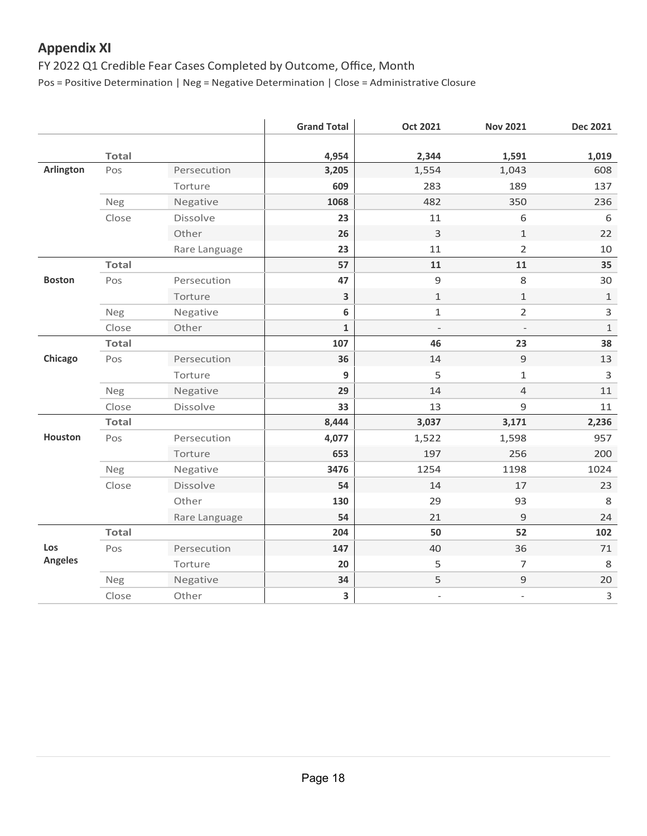## **Appendix XI**

#### FY 2022 Q1 Credible Fear Cases Completed by Outcome, Office, Month

Pos = Positive Determination | Neg = Negative Determination | Close = Administrative Closure

|                  |              |               | <b>Grand Total</b> | <b>Oct 2021</b>          | <b>Nov 2021</b>              | <b>Dec 2021</b> |
|------------------|--------------|---------------|--------------------|--------------------------|------------------------------|-----------------|
|                  | <b>Total</b> |               | 4,954              | 2,344                    | 1,591                        | 1,019           |
| <b>Arlington</b> | Pos          | Persecution   | 3,205              | 1,554                    | 1,043                        | 608             |
|                  |              | Torture       | 609                | 283                      | 189                          | 137             |
|                  | <b>Neg</b>   | Negative      | 1068               | 482                      | 350                          | 236             |
|                  | Close        | Dissolve      | 23                 | 11                       | 6                            | 6               |
|                  |              | Other         | 26                 | $\mathsf{3}$             | $1\,$                        | 22              |
|                  |              | Rare Language | 23                 | 11                       | $\overline{2}$               | 10              |
|                  | <b>Total</b> |               | 57                 | 11                       | 11                           | 35              |
| <b>Boston</b>    | Pos          | Persecution   | 47                 | $\mathsf 9$              | 8                            | 30              |
|                  |              | Torture       | 3                  | $\mathbf{1}$             | $\mathbf{1}$                 | $\mathbf{1}$    |
|                  | Neg          | Negative      | 6                  | $\mathbf{1}$             | $\overline{2}$               | 3               |
|                  | Close        | Other         | $\mathbf{1}$       | $\overline{\phantom{a}}$ | $\qquad \qquad -$            | $\,1\,$         |
|                  | <b>Total</b> |               | 107                | 46                       | 23                           | 38              |
| Chicago          | Pos          | Persecution   | 36                 | 14                       | $\mathsf 9$                  | 13              |
|                  |              | Torture       | 9                  | 5                        | $\mathbf{1}$                 | 3               |
|                  | Neg          | Negative      | 29                 | 14                       | $\overline{4}$               | 11              |
|                  | Close        | Dissolve      | 33                 | 13                       | 9                            | 11              |
|                  | <b>Total</b> |               | 8,444              | 3,037                    | 3,171                        | 2,236           |
| Houston          | Pos          | Persecution   | 4,077              | 1,522                    | 1,598                        | 957             |
|                  |              | Torture       | 653                | 197                      | 256                          | 200             |
|                  | Neg          | Negative      | 3476               | 1254                     | 1198                         | 1024            |
|                  | Close        | Dissolve      | 54                 | 14                       | 17                           | 23              |
|                  |              | Other         | 130                | 29                       | 93                           | 8               |
|                  |              | Rare Language | 54                 | 21                       | 9                            | 24              |
|                  | <b>Total</b> |               | 204                | 50                       | 52                           | 102             |
| Los              | Pos          | Persecution   | 147                | 40                       | 36                           | 71              |
| <b>Angeles</b>   |              | Torture       | 20                 | 5                        | $\overline{7}$               | 8               |
|                  | Neg          | Negative      | 34                 | 5                        | $\mathsf 9$                  | 20              |
|                  | Close        | Other         | 3                  |                          | $\qquad \qquad \blacksquare$ | $\mathsf{3}$    |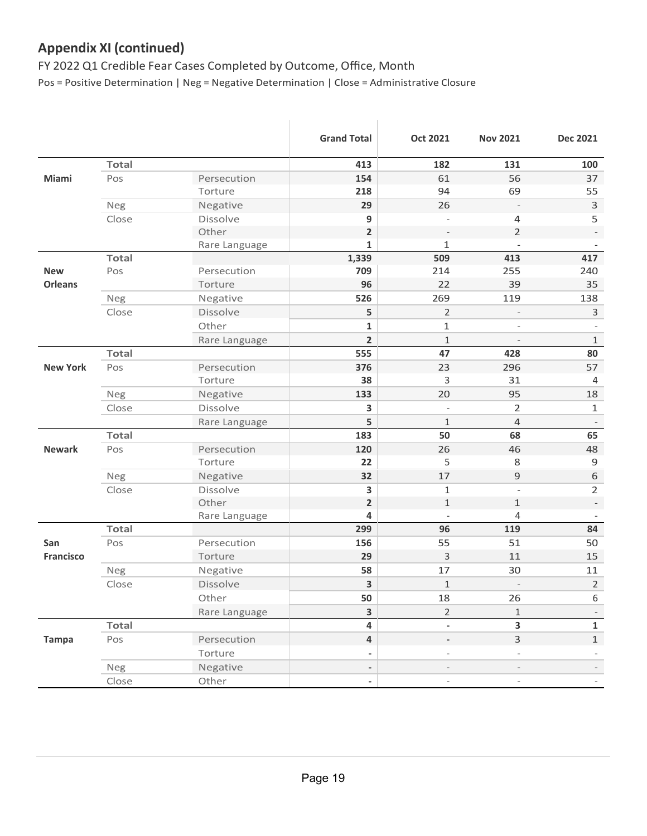## **Appendix XI (continued)**

 FY 2022 Q1 Credible Fear Cases Completed by Outcome, Office, Month Pos = Positive Determination | Neg = Negative Determination | Close = Administrative Closure

|                  |              |                 | <b>Grand Total</b>       | <b>Oct 2021</b>              | <b>Nov 2021</b>          | <b>Dec 2021</b>          |
|------------------|--------------|-----------------|--------------------------|------------------------------|--------------------------|--------------------------|
|                  | <b>Total</b> |                 | 413                      | 182                          | 131                      | 100                      |
| Miami            | Pos          | Persecution     | 154                      | 61                           | 56                       | 37                       |
|                  |              | Torture         | 218                      | 94                           | 69                       | 55                       |
|                  | Neg          | Negative        | 29                       | 26                           |                          | $\mathbf{3}$             |
|                  | Close        | <b>Dissolve</b> | $\boldsymbol{9}$         | L,                           | $\overline{4}$           | 5                        |
|                  |              | Other           | $\overline{\mathbf{2}}$  |                              | $\overline{2}$           |                          |
|                  |              | Rare Language   | $\mathbf{1}$             | $\mathbf{1}$                 | $\overline{\phantom{a}}$ |                          |
|                  | <b>Total</b> |                 | 1,339                    | 509                          | 413                      | 417                      |
| <b>New</b>       | Pos          | Persecution     | 709                      | 214                          | 255                      | 240                      |
| <b>Orleans</b>   |              | Torture         | 96                       | 22                           | 39                       | 35                       |
|                  | Neg          | Negative        | 526                      | 269                          | 119                      | 138                      |
|                  | Close        | Dissolve        | 5                        | $\overline{2}$               |                          | $\mathbf{3}$             |
|                  |              | Other           | $\mathbf{1}$             | 1                            | $\overline{\phantom{a}}$ |                          |
|                  |              | Rare Language   | $\overline{2}$           | 1                            | $\overline{\phantom{a}}$ | $\mathbf{1}$             |
|                  | <b>Total</b> |                 | 555                      | 47                           | 428                      | 80                       |
| <b>New York</b>  | Pos          | Persecution     | 376                      | 23                           | 296                      | 57                       |
|                  |              | Torture         | 38                       | 3                            | 31                       | $\overline{4}$           |
|                  | Neg          | Negative        | 133                      | 20                           | 95                       | 18                       |
|                  | Close        | Dissolve        | 3                        | L,                           | $\overline{2}$           | $\mathbf{1}$             |
|                  |              | Rare Language   | 5                        | $\mathbf{1}$                 | $\overline{4}$           |                          |
|                  | <b>Total</b> |                 | 183                      | 50                           | 68                       | 65                       |
| <b>Newark</b>    | Pos          | Persecution     | 120                      | 26                           | 46                       | 48                       |
|                  |              | Torture         | 22                       | 5                            | 8                        | $\mathsf 9$              |
|                  | Neg          | Negative        | 32                       | 17                           | 9                        | $\,$ 6 $\,$              |
|                  | Close        | Dissolve        | 3                        | $\mathbf{1}$                 | $\overline{\phantom{a}}$ | $\overline{2}$           |
|                  |              | Other           | $\overline{\mathbf{2}}$  | $\mathbf{1}$                 | $\mathbf{1}$             |                          |
|                  |              | Rare Language   | 4                        | $\overline{a}$               | $\overline{4}$           |                          |
|                  | <b>Total</b> |                 | 299                      | 96                           | 119                      | 84                       |
| San              | Pos          | Persecution     | 156                      | 55                           | 51                       | 50                       |
| <b>Francisco</b> |              | Torture         | 29                       | 3                            | 11                       | 15                       |
|                  | Neg          | Negative        | 58                       | 17                           | 30                       | 11                       |
|                  | Close        | Dissolve        | 3                        | $\mathbf{1}$                 | $\overline{\phantom{a}}$ | $\overline{2}$           |
|                  |              | Other           | 50                       | 18                           | 26                       | 6                        |
|                  |              | Rare Language   | $\overline{\mathbf{3}}$  | $\overline{2}$               | $\mathbf{1}$             | $\overline{\phantom{a}}$ |
|                  | <b>Total</b> |                 | $\overline{\mathbf{4}}$  | $\qquad \qquad \blacksquare$ | $\overline{\mathbf{3}}$  | $\mathbf{1}$             |
| <b>Tampa</b>     | Pos          | Persecution     | $\overline{\mathbf{4}}$  | $\frac{1}{2}$                | $\mathsf{3}$             | $\mathbf{1}$             |
|                  |              | Torture         | $\overline{\phantom{a}}$ | $\qquad \qquad -$            |                          |                          |
|                  | <b>Neg</b>   | Negative        | $\overline{\phantom{0}}$ | $\overline{a}$               | $\overline{\phantom{a}}$ |                          |
|                  | Close        | Other           | $\overline{\phantom{a}}$ | $\overline{\phantom{a}}$     | $\overline{\phantom{a}}$ | $\blacksquare$           |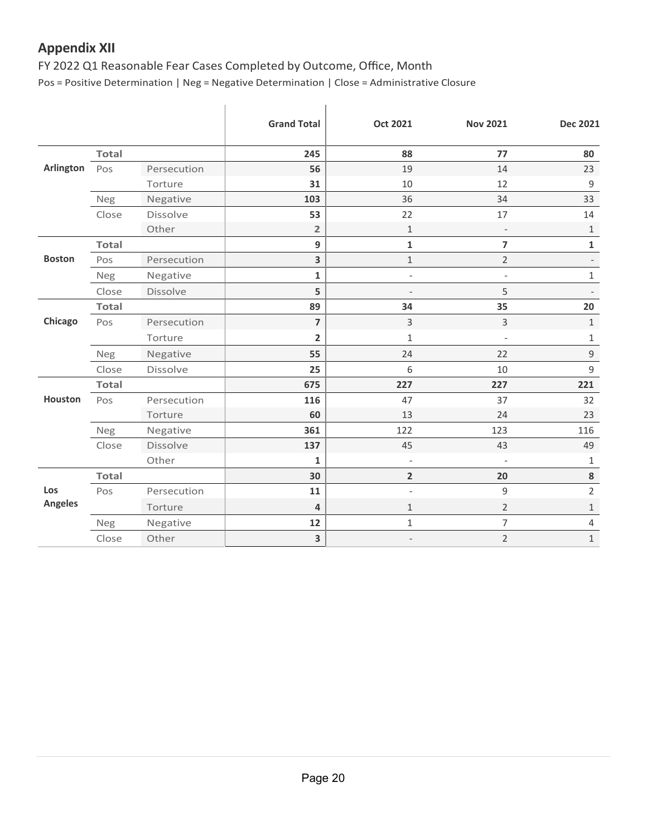## **Appendix XII**

FY 2022 Q1 Reasonable Fear Cases Completed by Outcome, Office, Month

Pos = Positive Determination | Neg = Negative Determination | Close = Administrative Closure

|                       |              |                 | <b>Grand Total</b>      | <b>Oct 2021</b>          | <b>Nov 2021</b>          | <b>Dec 2021</b>          |
|-----------------------|--------------|-----------------|-------------------------|--------------------------|--------------------------|--------------------------|
|                       | <b>Total</b> |                 | 245                     | 88                       | 77                       | 80                       |
| <b>Arlington</b>      | Pos          | Persecution     | 56                      | 19                       | 14                       | 23                       |
|                       |              | Torture         | 31                      | 10                       | 12                       | $\mathsf 9$              |
|                       | Neg          | Negative        | 103                     | 36                       | 34                       | 33                       |
|                       | Close        | Dissolve        | 53                      | 22                       | 17                       | 14                       |
|                       |              | Other           | $\overline{2}$          | $\mathbf{1}$             | $\overline{\phantom{a}}$ | $\mathbf{1}$             |
|                       | <b>Total</b> |                 | 9                       | $\mathbf 1$              | $\overline{7}$           | $\mathbf 1$              |
| <b>Boston</b>         | Pos          | Persecution     | 3                       | $\mathbf{1}$             | $\overline{2}$           | $\overline{\phantom{a}}$ |
|                       | <b>Neg</b>   | Negative        | $\mathbf 1$             | $\overline{\phantom{a}}$ | $\overline{\phantom{a}}$ | $\mathbf{1}$             |
|                       | Close        | Dissolve        | 5                       |                          | 5                        |                          |
|                       | <b>Total</b> |                 | 89                      | 34                       | 35                       | 20                       |
| Chicago               | Pos          | Persecution     | $\overline{7}$          | $\overline{3}$           | 3                        | $\mathbf{1}$             |
|                       |              | Torture         | $\overline{\mathbf{2}}$ | $\mathbf{1}$             | $\overline{\phantom{a}}$ | $\mathbf{1}$             |
|                       | Neg          | Negative        | 55                      | 24                       | 22                       | $\mathsf 9$              |
|                       | Close        | <b>Dissolve</b> | 25                      | 6                        | 10                       | 9                        |
|                       | <b>Total</b> |                 | 675                     | 227                      | 227                      | 221                      |
| Houston               | Pos          | Persecution     | 116                     | 47                       | 37                       | 32                       |
|                       |              | Torture         | 60                      | 13                       | 24                       | 23                       |
|                       | Neg          | Negative        | 361                     | 122                      | 123                      | 116                      |
|                       | Close        | <b>Dissolve</b> | 137                     | 45                       | 43                       | 49                       |
|                       |              | Other           | $\mathbf{1}$            | $\overline{\phantom{a}}$ | $\overline{\phantom{a}}$ | 1                        |
|                       | <b>Total</b> |                 | 30                      | $\overline{2}$           | 20                       | 8                        |
| Los<br><b>Angeles</b> | Pos          | Persecution     | 11                      | $\overline{\phantom{a}}$ | 9                        | $\overline{2}$           |
|                       |              | Torture         | $\overline{4}$          | $\mathbf{1}$             | $\overline{2}$           | $\mathbf{1}$             |
|                       | Neg          | Negative        | 12                      | $\,1\,$                  | $\overline{7}$           | $\overline{4}$           |
|                       | Close        | Other           | $\overline{\mathbf{3}}$ | $\overline{\phantom{a}}$ | $\overline{2}$           | $\mathbf 1$              |